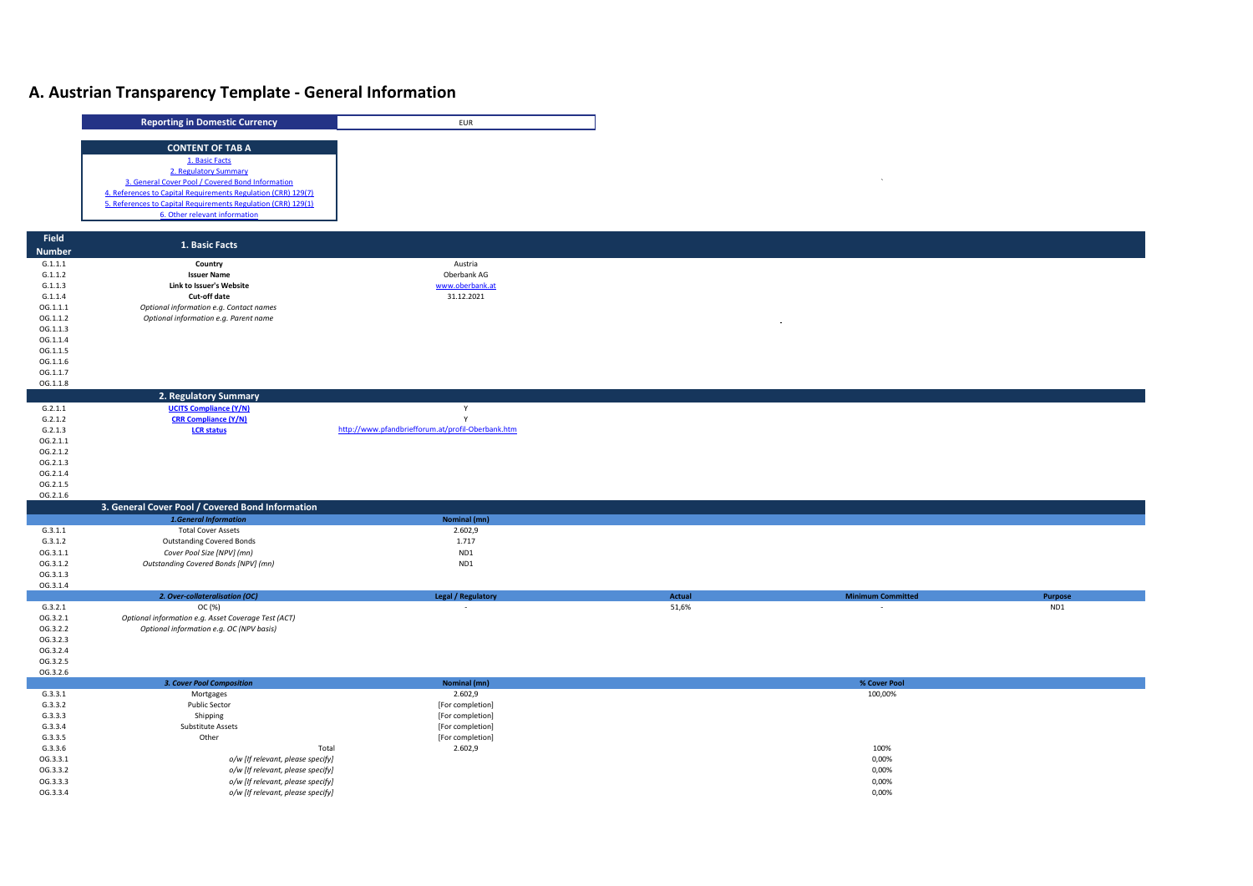## **A. Austrian Transparency Template - General Information**

|                      | <b>Reporting in Domestic Currency</b>                                  | EUR                                               |        |                          |         |
|----------------------|------------------------------------------------------------------------|---------------------------------------------------|--------|--------------------------|---------|
|                      |                                                                        |                                                   |        |                          |         |
|                      | <b>CONTENT OF TAB A</b>                                                |                                                   |        |                          |         |
|                      | 1. Basic Facts                                                         |                                                   |        |                          |         |
|                      | 2. Regulatory Summary                                                  |                                                   |        |                          |         |
|                      | 3. General Cover Pool / Covered Bond Information                       |                                                   |        |                          |         |
|                      | 4. References to Capital Requirements Regulation (CRR) 129(7)          |                                                   |        |                          |         |
|                      | 5. References to Capital Requirements Regulation (CRR) 129(1)          |                                                   |        |                          |         |
|                      | 6. Other relevant information                                          |                                                   |        |                          |         |
|                      |                                                                        |                                                   |        |                          |         |
| Field                | 1. Basic Facts                                                         |                                                   |        |                          |         |
| <b>Number</b>        |                                                                        |                                                   |        |                          |         |
| G.1.1.1              | Country                                                                | Austria                                           |        |                          |         |
| G.1.1.2              | <b>Issuer Name</b>                                                     | Oberbank AG                                       |        |                          |         |
| G.1.1.3              | Link to Issuer's Website                                               | www.oberbank.at                                   |        |                          |         |
| G.1.1.4              | Cut-off date                                                           | 31.12.2021                                        |        |                          |         |
| OG.1.1.1<br>OG.1.1.2 | Optional information e.g. Contact names                                |                                                   |        |                          |         |
| OG.1.1.3             | Optional information e.g. Parent name                                  |                                                   |        |                          |         |
| OG.1.1.4             |                                                                        |                                                   |        |                          |         |
| OG.1.1.5             |                                                                        |                                                   |        |                          |         |
| OG.1.1.6             |                                                                        |                                                   |        |                          |         |
| OG.1.1.7             |                                                                        |                                                   |        |                          |         |
| OG.1.1.8             |                                                                        |                                                   |        |                          |         |
|                      | 2. Regulatory Summary                                                  |                                                   |        |                          |         |
| G.2.1.1              | <b>UCITS Compliance (Y/N)</b>                                          | $\mathsf Y$                                       |        |                          |         |
| G.2.1.2              | <b>CRR Compliance (Y/N)</b>                                            | Y                                                 |        |                          |         |
| G.2.1.3              | <b>LCR status</b>                                                      | http://www.pfandbriefforum.at/profil-Oberbank.htm |        |                          |         |
| OG.2.1.1             |                                                                        |                                                   |        |                          |         |
| OG.2.1.2             |                                                                        |                                                   |        |                          |         |
| OG.2.1.3             |                                                                        |                                                   |        |                          |         |
| OG.2.1.4             |                                                                        |                                                   |        |                          |         |
| OG.2.1.5             |                                                                        |                                                   |        |                          |         |
| OG.2.1.6             | 3. General Cover Pool / Covered Bond Information                       |                                                   |        |                          |         |
|                      | <b>1.General Information</b>                                           | Nominal (mn)                                      |        |                          |         |
| G.3.1.1              | <b>Total Cover Assets</b>                                              | 2.602,9                                           |        |                          |         |
| G.3.1.2              | <b>Outstanding Covered Bonds</b>                                       | 1.717                                             |        |                          |         |
| OG.3.1.1             | Cover Pool Size [NPV] (mn)                                             | ND1                                               |        |                          |         |
| OG.3.1.2             | Outstanding Covered Bonds [NPV] (mn)                                   | ND1                                               |        |                          |         |
| OG.3.1.3             |                                                                        |                                                   |        |                          |         |
| OG.3.1.4             |                                                                        |                                                   |        |                          |         |
|                      | 2. Over-collateralisation (OC)                                         | <b>Legal / Regulatory</b>                         | Actual | <b>Minimum Committed</b> | Purpose |
| G.3.2.1              | OC (%)                                                                 |                                                   | 51,6%  | $\overline{\phantom{a}}$ | ND1     |
| OG.3.2.1             | Optional information e.g. Asset Coverage Test (ACT)                    |                                                   |        |                          |         |
| OG.3.2.2             | Optional information e.g. OC (NPV basis)                               |                                                   |        |                          |         |
| OG.3.2.3             |                                                                        |                                                   |        |                          |         |
| OG.3.2.4<br>OG.3.2.5 |                                                                        |                                                   |        |                          |         |
| OG.3.2.6             |                                                                        |                                                   |        |                          |         |
|                      | 3. Cover Pool Composition                                              | Nominal (mn)                                      |        | % Cover Pool             |         |
| G.3.3.1              | Mortgages                                                              | 2.602,9                                           |        | 100,00%                  |         |
| G.3.3.2              | Public Sector                                                          | [For completion]                                  |        |                          |         |
|                      |                                                                        |                                                   |        |                          |         |
| G.3.3.3              | Shipping                                                               | [For completion]                                  |        |                          |         |
| G.3.3.4              | <b>Substitute Assets</b>                                               | [For completion]                                  |        |                          |         |
| G.3.3.5              | Other                                                                  | [For completion]                                  |        |                          |         |
| G.3.3.6              |                                                                        | Total<br>2.602,9                                  |        | 100%                     |         |
| OG.3.3.1             | o/w [If relevant, please specify]                                      |                                                   |        | 0,00%                    |         |
| OG.3.3.2<br>OG.3.3.3 | o/w [If relevant, please specify]<br>o/w [If relevant, please specify] |                                                   |        | 0,00%<br>0,00%           |         |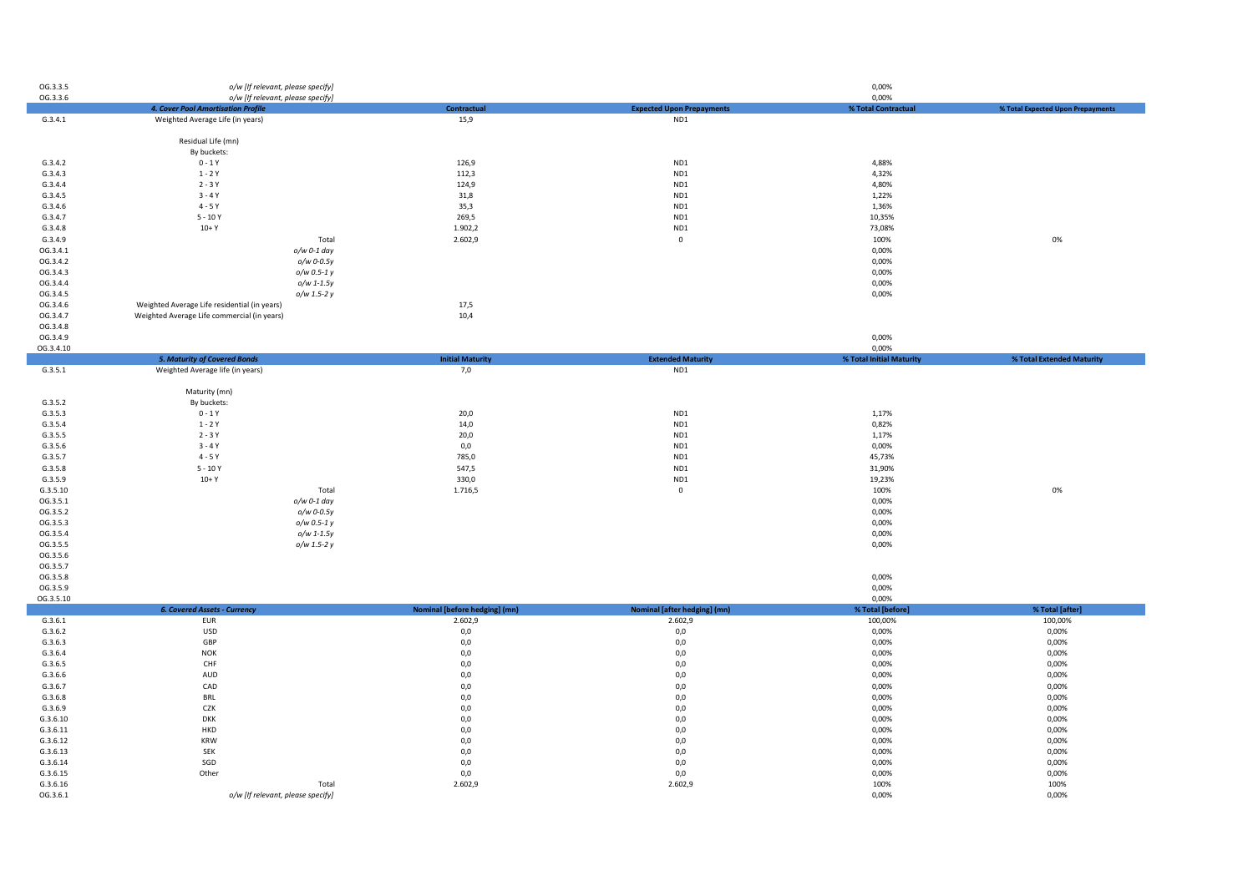| OG.3.3.5             | o/w [If relevant, please specify]                                       |                               |                                  | 0,00%                             |                                   |
|----------------------|-------------------------------------------------------------------------|-------------------------------|----------------------------------|-----------------------------------|-----------------------------------|
| OG.3.3.6             | o/w [If relevant, please specify]<br>4. Cover Pool Amortisation Profile | <b>Contractual</b>            | <b>Expected Upon Prepayments</b> | 0,00%                             | % Total Expected Upon Prepayments |
| G.3.4.1              | Weighted Average Life (in years)                                        | 15,9                          | ND1                              | % Total Contractual               |                                   |
|                      |                                                                         |                               |                                  |                                   |                                   |
|                      | Residual Life (mn)                                                      |                               |                                  |                                   |                                   |
|                      | By buckets:                                                             |                               |                                  |                                   |                                   |
| G.3.4.2              | $0 - 1Y$                                                                | 126,9                         | ND1                              | 4,88%                             |                                   |
| G.3.4.3              | $1 - 2Y$                                                                | 112,3                         | ND1                              | 4,32%                             |                                   |
| G.3.4.4              | $2 - 3Y$                                                                | 124,9                         | ND <sub>1</sub>                  | 4,80%                             |                                   |
| G.3.4.5              | $3 - 4Y$                                                                | 31,8                          | ND1                              | 1,22%                             |                                   |
| G.3.4.6              | $4 - 5Y$                                                                | 35,3                          | ND <sub>1</sub>                  | 1,36%                             |                                   |
| G.3.4.7              | $5 - 10Y$                                                               | 269,5                         | ND1                              | 10,35%                            |                                   |
| G.3.4.8              | $10+Y$                                                                  | 1.902,2                       | ND <sub>1</sub>                  | 73,08%                            |                                   |
| G.3.4.9              | Total                                                                   | 2.602,9                       | $\mathbf 0$                      | 100%                              | 0%                                |
| OG.3.4.1             | o/w 0-1 day                                                             |                               |                                  | 0,00%                             |                                   |
| OG.3.4.2             | o/w 0-0.5y                                                              |                               |                                  | 0,00%                             |                                   |
| OG.3.4.3             | o/w 0.5-1 y                                                             |                               |                                  | 0,00%                             |                                   |
| OG.3.4.4             | $o/w$ 1-1.5y                                                            |                               |                                  | 0,00%                             |                                   |
| OG.3.4.5             | o/w 1.5-2 y                                                             |                               |                                  | 0,00%                             |                                   |
| OG.3.4.6             | Weighted Average Life residential (in years)                            | 17,5                          |                                  |                                   |                                   |
| OG.3.4.7             | Weighted Average Life commercial (in years)                             | 10,4                          |                                  |                                   |                                   |
| OG.3.4.8             |                                                                         |                               |                                  |                                   |                                   |
| OG.3.4.9             |                                                                         |                               |                                  | 0,00%                             |                                   |
| OG.3.4.10            |                                                                         | <b>Initial Maturity</b>       | <b>Extended Maturity</b>         | 0,00%<br>% Total Initial Maturity | % Total Extended Maturity         |
| G.3.5.1              | <b>5. Maturity of Covered Bonds</b><br>Weighted Average life (in years) | 7,0                           | ND <sub>1</sub>                  |                                   |                                   |
|                      |                                                                         |                               |                                  |                                   |                                   |
|                      | Maturity (mn)                                                           |                               |                                  |                                   |                                   |
| G.3.5.2              | By buckets:                                                             |                               |                                  |                                   |                                   |
| G.3.5.3              | $0 - 1Y$                                                                | 20,0                          | ND1                              | 1,17%                             |                                   |
| G.3.5.4              | $1 - 2Y$                                                                | 14,0                          | ND1                              | 0,82%                             |                                   |
| G.3.5.5              | $2 - 3Y$                                                                | 20,0                          | ND1                              | 1,17%                             |                                   |
| G.3.5.6              | $3 - 4Y$                                                                | 0,0                           | ND1                              | 0,00%                             |                                   |
| G.3.5.7              | $4 - 5Y$                                                                | 785,0                         | ND <sub>1</sub>                  | 45,73%                            |                                   |
| G.3.5.8              | $5 - 10Y$                                                               | 547,5                         | ND1                              | 31,90%                            |                                   |
| G.3.5.9              | $10+Y$                                                                  | 330,0                         | ND1                              | 19,23%                            |                                   |
| G.3.5.10             | Total                                                                   | 1.716,5                       | $\mathbf 0$                      | 100%                              | 0%                                |
| OG.3.5.1             | o/w 0-1 day                                                             |                               |                                  | 0,00%                             |                                   |
| OG.3.5.2             | o/w 0-0.5y                                                              |                               |                                  | 0,00%                             |                                   |
| OG.3.5.3             | o/w 0.5-1 y                                                             |                               |                                  | 0,00%                             |                                   |
| OG.3.5.4             | o/w 1-1.5y                                                              |                               |                                  | 0,00%                             |                                   |
| OG.3.5.5             | o/w 1.5-2 y                                                             |                               |                                  | 0,00%                             |                                   |
| OG.3.5.6             |                                                                         |                               |                                  |                                   |                                   |
| OG.3.5.7             |                                                                         |                               |                                  |                                   |                                   |
| OG.3.5.8             |                                                                         |                               |                                  | 0,00%                             |                                   |
| OG.3.5.9             |                                                                         |                               |                                  | 0,00%                             |                                   |
| OG.3.5.10            |                                                                         |                               |                                  | 0,00%                             |                                   |
|                      | <b>6. Covered Assets - Currency</b>                                     | Nominal [before hedging] (mn) | Nominal [after hedging] (mn)     | % Total [before]                  | % Total [after]                   |
| G.3.6.1              | <b>EUR</b>                                                              | 2.602,9                       | 2.602,9                          | 100,00%                           | 100,00%                           |
| G.3.6.2              | <b>USD</b>                                                              | 0,0                           | 0,0                              | 0,00%                             | 0,00%                             |
| G.3.6.3              | GBP                                                                     | 0,0                           | 0,0                              | 0,00%                             | 0,00%                             |
| G.3.6.4              | <b>NOK</b>                                                              | 0,0                           | 0,0                              | 0,00%                             | 0,00%                             |
| G.3.6.5              | CHF                                                                     | 0,0                           | 0,0                              | 0,00%                             | 0,00%                             |
| G.3.6.6              | AUD                                                                     | 0,0                           | 0,0                              | 0,00%                             | 0,00%                             |
| G.3.6.7              | CAD                                                                     | $_{0,0}$                      | 0,0                              | 0,00%                             | 0,00%                             |
| G.3.6.8              | <b>BRL</b>                                                              | 0,0                           | 0,0                              | 0,00%                             | 0,00%                             |
| G.3.6.9              | CZK                                                                     | 0,0                           | 0,0                              | 0,00%                             | 0,00%                             |
| G.3.6.10             | <b>DKK</b>                                                              | 0,0                           | 0,0                              | 0,00%                             | 0,00%                             |
| G.3.6.11             | HKD                                                                     | 0,0                           | 0,0                              | 0,00%                             | 0,00%                             |
| G.3.6.12             | <b>KRW</b>                                                              | 0,0                           | 0,0                              | 0,00%                             | 0,00%                             |
| G.3.6.13             | <b>SEK</b>                                                              | 0,0                           | 0,0                              | 0,00%                             | 0,00%                             |
| G.3.6.14<br>G.3.6.15 | SGD<br>Other                                                            | 0,0<br>0,0                    | 0,0<br>0,0                       | 0,00%<br>0,00%                    | 0,00%<br>0,00%                    |
| G.3.6.16             | Total                                                                   | 2.602,9                       | 2.602,9                          | 100%                              | 100%                              |
| OG.3.6.1             | o/w [If relevant, please specify]                                       |                               |                                  | 0,00%                             | 0,00%                             |
|                      |                                                                         |                               |                                  |                                   |                                   |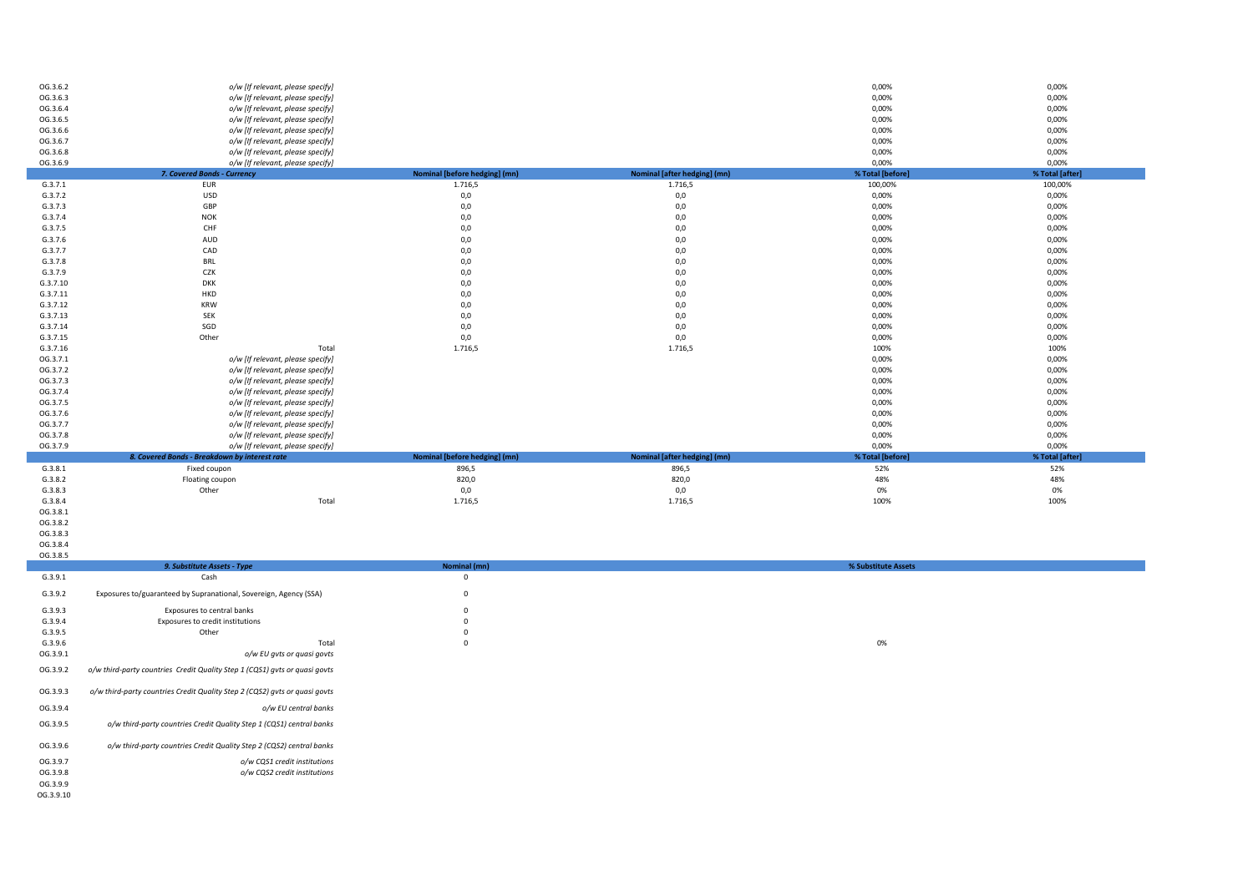| OG.3.6.2 | o/w [If relevant, please specify]             |                               |                              | 0,00%            | 0,00%           |
|----------|-----------------------------------------------|-------------------------------|------------------------------|------------------|-----------------|
| OG.3.6.3 | o/w [If relevant, please specify]             |                               |                              | 0,00%            | 0,00%           |
| OG.3.6.4 | o/w [If relevant, please specify]             |                               |                              | 0,00%            | 0,00%           |
| OG.3.6.5 | o/w [If relevant, please specify]             |                               |                              | 0,00%            | 0,00%           |
| OG.3.6.6 | o/w [If relevant, please specify]             |                               |                              | 0,00%            | 0,00%           |
| OG.3.6.7 | o/w [If relevant, please specify]             |                               |                              | 0,00%            | 0,00%           |
| OG.3.6.8 | o/w [If relevant, please specify]             |                               |                              | 0,00%            | 0,00%           |
| OG.3.6.9 | o/w [If relevant, please specify]             |                               |                              | 0,00%            | 0,00%           |
|          | 7. Covered Bonds - Currency                   | Nominal [before hedging] (mn) | Nominal [after hedging] (mn) | % Total [before] | % Total [after] |
| G.3.7.1  | <b>EUR</b>                                    | 1.716,5                       | 1.716,5                      | 100,00%          | 100,00%         |
| G.3.7.2  | USD                                           | 0,0                           | 0,0                          | 0,00%            | 0,00%           |
| G.3.7.3  | GBP                                           | $0,0$                         | 0,0                          | 0,00%            | 0,00%           |
| G.3.7.4  | <b>NOK</b>                                    | $0,0$                         | 0,0                          | 0,00%            | 0,00%           |
| G.3.7.5  | CHF                                           | 0,0                           | 0,0                          | 0,00%            | 0,00%           |
| G.3.7.6  | AUD                                           | 0,0                           | 0,0                          | 0,00%            | 0,00%           |
| G.3.7.7  | CAD                                           | 0,0                           | 0,0                          | 0,00%            | 0,00%           |
| G.3.7.8  | <b>BRL</b>                                    | 0,0                           | 0,0                          | 0,00%            | 0,00%           |
| G.3.7.9  | CZK                                           | 0,0                           | 0,0                          | 0,00%            | 0,00%           |
| G.3.7.10 | <b>DKK</b>                                    | $0,0$                         | 0,0                          | 0,00%            | 0,00%           |
| G.3.7.11 | HKD                                           | $0,0$                         | 0,0                          | 0,00%            | 0,00%           |
| G.3.7.12 | <b>KRW</b>                                    | 0,0                           | 0,0                          | 0,00%            | 0,00%           |
| G.3.7.13 | SEK                                           | 0,0                           | 0,0                          | 0,00%            | 0,00%           |
| G.3.7.14 | SGD                                           | 0,0                           | 0,0                          | 0,00%            | 0,00%           |
| G.3.7.15 | Other                                         | $0,0$                         | 0,0                          | 0,00%            | 0,00%           |
| G.3.7.16 | Total                                         | 1.716,5                       | 1.716,5                      | 100%             | 100%            |
| OG.3.7.1 | o/w [If relevant, please specify]             |                               |                              | 0,00%            | 0,00%           |
| OG.3.7.2 | o/w [If relevant, please specify]             |                               |                              | 0,00%            | 0,00%           |
| OG.3.7.3 | o/w [If relevant, please specify]             |                               |                              | 0,00%            | 0,00%           |
| OG.3.7.4 | o/w [If relevant, please specify]             |                               |                              | 0,00%            | 0,00%           |
| OG.3.7.5 | o/w [If relevant, please specify]             |                               |                              | 0,00%            | 0,00%           |
| OG.3.7.6 | o/w [If relevant, please specify]             |                               |                              | 0,00%            | 0,00%           |
| OG.3.7.7 | o/w [If relevant, please specify]             |                               |                              | 0,00%            | 0,00%           |
| OG.3.7.8 | o/w [If relevant, please specify]             |                               |                              | 0,00%            | 0,00%           |
| OG.3.7.9 | o/w [If relevant, please specify]             |                               |                              | 0,00%            | 0,00%           |
|          | 8. Covered Bonds - Breakdown by interest rate | Nominal [before hedging] (mn) | Nominal [after hedging] (mn) | % Total [before] | % Total [after] |
| G.3.8.1  | Fixed coupon                                  | 896,5                         | 896,5                        | 52%              | 52%             |
| G.3.8.2  | Floating coupon                               | 820,0                         | 820,0                        | 48%              | 48%             |
| G.3.8.3  | Other                                         | 0,0                           | 0,0                          | 0%               | 0%              |
| G.3.8.4  | Total                                         | 1.716,5                       | 1.716,5                      | 100%             | 100%            |
| OG.3.8.1 |                                               |                               |                              |                  |                 |

OG.3.8.2

OG.3.8.3 OG.3.8.4

OG.3.9.9 OG.3.9.10

| OG.3.8.5 |                                                                            |              |                     |
|----------|----------------------------------------------------------------------------|--------------|---------------------|
|          | 9. Substitute Assets - Type                                                | Nominal (mn) | % Substitute Assets |
| G.3.9.1  | Cash                                                                       |              |                     |
| G.3.9.2  | Exposures to/guaranteed by Supranational, Sovereign, Agency (SSA)          | 0            |                     |
| G.3.9.3  | Exposures to central banks                                                 |              |                     |
| G.3.9.4  | Exposures to credit institutions                                           |              |                     |
| G.3.9.5  | Other                                                                      |              |                     |
| G.3.9.6  | Total                                                                      |              | 0%                  |
| OG.3.9.1 | o/w EU gvts or quasi govts                                                 |              |                     |
| OG.3.9.2 | o/w third-party countries Credit Quality Step 1 (CQS1) gvts or quasi govts |              |                     |
| OG.3.9.3 | o/w third-party countries Credit Quality Step 2 (CQS2) gvts or quasi govts |              |                     |
| OG.3.9.4 | o/w EU central banks                                                       |              |                     |
| OG.3.9.5 | o/w third-party countries Credit Quality Step 1 (CQS1) central banks       |              |                     |
| OG.3.9.6 | o/w third-party countries Credit Quality Step 2 (CQS2) central banks       |              |                     |
| OG.3.9.7 | o/w CQS1 credit institutions                                               |              |                     |
| OG.3.9.8 | o/w CQS2 credit institutions                                               |              |                     |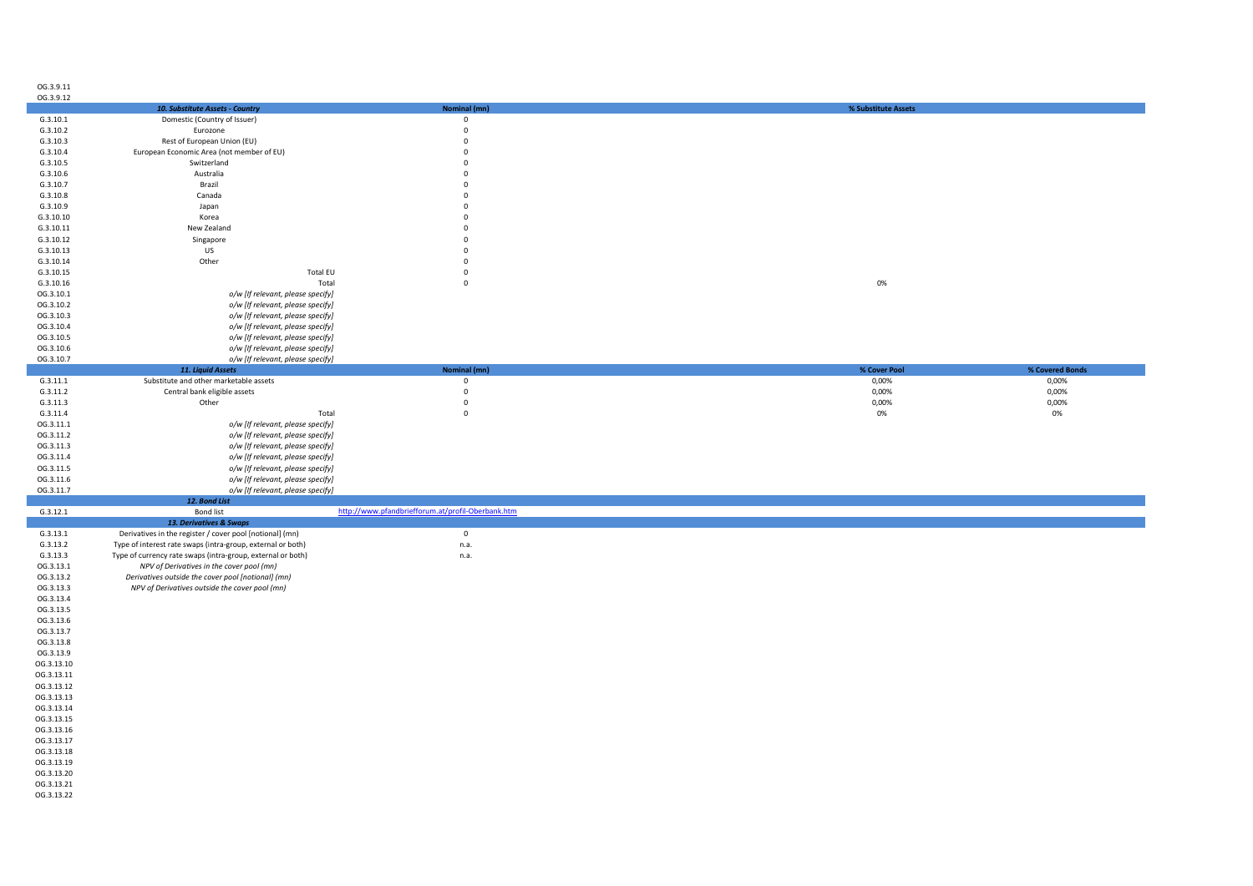| 5.3.9.11 |
|----------|
| 53912    |

| <b>UU.J.J.IL</b> |                                                             |                                                   |                                 |  |
|------------------|-------------------------------------------------------------|---------------------------------------------------|---------------------------------|--|
|                  | 10. Substitute Assets - Country                             | Nominal (mn)                                      | % Substitute Assets             |  |
| G.3.10.1         | Domestic (Country of Issuer)                                | $\mathsf 0$                                       |                                 |  |
|                  |                                                             |                                                   |                                 |  |
| G.3.10.2         | Eurozone                                                    | $\mathbf{0}$                                      |                                 |  |
| G.3.10.3         | Rest of European Union (EU)                                 | $\mathbf 0$                                       |                                 |  |
| G.3.10.4         | European Economic Area (not member of EU)                   | $\mathbf{0}$                                      |                                 |  |
| G.3.10.5         | Switzerland                                                 | $\mathbf 0$                                       |                                 |  |
|                  |                                                             |                                                   |                                 |  |
| G.3.10.6         | Australia                                                   | $\mathbf 0$                                       |                                 |  |
| G.3.10.7         | Brazil                                                      | $\mathbf 0$                                       |                                 |  |
| G.3.10.8         | Canada                                                      | $\mathbf 0$                                       |                                 |  |
|                  |                                                             |                                                   |                                 |  |
| G.3.10.9         | Japan                                                       | $\Omega$                                          |                                 |  |
| G.3.10.10        | Korea                                                       | $\mathbf 0$                                       |                                 |  |
| G.3.10.11        | New Zealand                                                 | $\mathbf 0$                                       |                                 |  |
| G.3.10.12        |                                                             | $\mathbf{0}$                                      |                                 |  |
|                  | Singapore                                                   |                                                   |                                 |  |
| G.3.10.13        | US                                                          | $\mathbf{0}$                                      |                                 |  |
| G.3.10.14        | Other                                                       | $\mathbf 0$                                       |                                 |  |
| G.3.10.15        | <b>Total EU</b>                                             | $\mathbf 0$                                       |                                 |  |
|                  |                                                             |                                                   |                                 |  |
| G.3.10.16        | Total                                                       | $\mathsf 0$                                       | 0%                              |  |
| OG.3.10.1        | o/w [If relevant, please specify]                           |                                                   |                                 |  |
| OG.3.10.2        | o/w [If relevant, please specify]                           |                                                   |                                 |  |
| OG.3.10.3        | o/w [If relevant, please specify]                           |                                                   |                                 |  |
|                  |                                                             |                                                   |                                 |  |
| OG.3.10.4        | o/w [If relevant, please specify]                           |                                                   |                                 |  |
| OG.3.10.5        | o/w [If relevant, please specify]                           |                                                   |                                 |  |
| OG.3.10.6        | o/w [If relevant, please specify]                           |                                                   |                                 |  |
| OG.3.10.7        |                                                             |                                                   |                                 |  |
|                  | o/w [If relevant, please specify]                           |                                                   |                                 |  |
|                  | 11. Liquid Assets                                           | Nominal (mn)                                      | % Cover Pool<br>% Covered Bonds |  |
| G.3.11.1         | Substitute and other marketable assets                      | $\mathbf 0$                                       | 0,00%<br>0,00%                  |  |
| G.3.11.2         | Central bank eligible assets                                | $\mathbf 0$                                       | 0,00%<br>0,00%                  |  |
|                  |                                                             |                                                   |                                 |  |
| G.3.11.3         | Other                                                       | $\mathbf 0$                                       | 0,00%<br>0,00%                  |  |
| G.3.11.4         | Total                                                       | $\mathsf 0$                                       | 0%<br>0%                        |  |
| OG.3.11.1        | o/w [If relevant, please specify]                           |                                                   |                                 |  |
| OG.3.11.2        | o/w [If relevant, please specify]                           |                                                   |                                 |  |
|                  |                                                             |                                                   |                                 |  |
| OG.3.11.3        | o/w [If relevant, please specify]                           |                                                   |                                 |  |
| OG.3.11.4        | o/w [If relevant, please specify]                           |                                                   |                                 |  |
| OG.3.11.5        | o/w [If relevant, please specify]                           |                                                   |                                 |  |
| OG.3.11.6        |                                                             |                                                   |                                 |  |
|                  | o/w [If relevant, please specify]                           |                                                   |                                 |  |
| OG.3.11.7        | o/w [If relevant, please specify]                           |                                                   |                                 |  |
|                  | 12. Bond List                                               |                                                   |                                 |  |
| G.3.12.1         | <b>Bond list</b>                                            | http://www.pfandbriefforum.at/profil-Oberbank.htm |                                 |  |
|                  | 13. Derivatives & Swaps                                     |                                                   |                                 |  |
|                  |                                                             |                                                   |                                 |  |
| G.3.13.1         | Derivatives in the register / cover pool [notional] (mn)    | $\mathsf 0$                                       |                                 |  |
| G.3.13.2         | Type of interest rate swaps (intra-group, external or both) | n.a.                                              |                                 |  |
| G.3.13.3         | Type of currency rate swaps (intra-group, external or both) | n.a.                                              |                                 |  |
| OG.3.13.1        | NPV of Derivatives in the cover pool (mn)                   |                                                   |                                 |  |
|                  |                                                             |                                                   |                                 |  |
| OG.3.13.2        | Derivatives outside the cover pool [notional] (mn)          |                                                   |                                 |  |
| OG.3.13.3        | NPV of Derivatives outside the cover pool (mn)              |                                                   |                                 |  |
| OG.3.13.4        |                                                             |                                                   |                                 |  |
| OG.3.13.5        |                                                             |                                                   |                                 |  |
|                  |                                                             |                                                   |                                 |  |
| OG.3.13.6        |                                                             |                                                   |                                 |  |
| OG.3.13.7        |                                                             |                                                   |                                 |  |
| OG.3.13.8        |                                                             |                                                   |                                 |  |
|                  |                                                             |                                                   |                                 |  |
| OG.3.13.9        |                                                             |                                                   |                                 |  |
| OG.3.13.10       |                                                             |                                                   |                                 |  |
| OG.3.13.11       |                                                             |                                                   |                                 |  |
| OG.3.13.12       |                                                             |                                                   |                                 |  |
|                  |                                                             |                                                   |                                 |  |
| OG.3.13.13       |                                                             |                                                   |                                 |  |
| OG.3.13.14       |                                                             |                                                   |                                 |  |
| OG.3.13.15       |                                                             |                                                   |                                 |  |
|                  |                                                             |                                                   |                                 |  |
| OG.3.13.16       |                                                             |                                                   |                                 |  |
| OG.3.13.17       |                                                             |                                                   |                                 |  |
| OG.3.13.18       |                                                             |                                                   |                                 |  |
|                  |                                                             |                                                   |                                 |  |
| OG.3.13.19       |                                                             |                                                   |                                 |  |
| OG.3.13.20       |                                                             |                                                   |                                 |  |
| OG.3.13.21       |                                                             |                                                   |                                 |  |
|                  |                                                             |                                                   |                                 |  |
| OG.3.13.22       |                                                             |                                                   |                                 |  |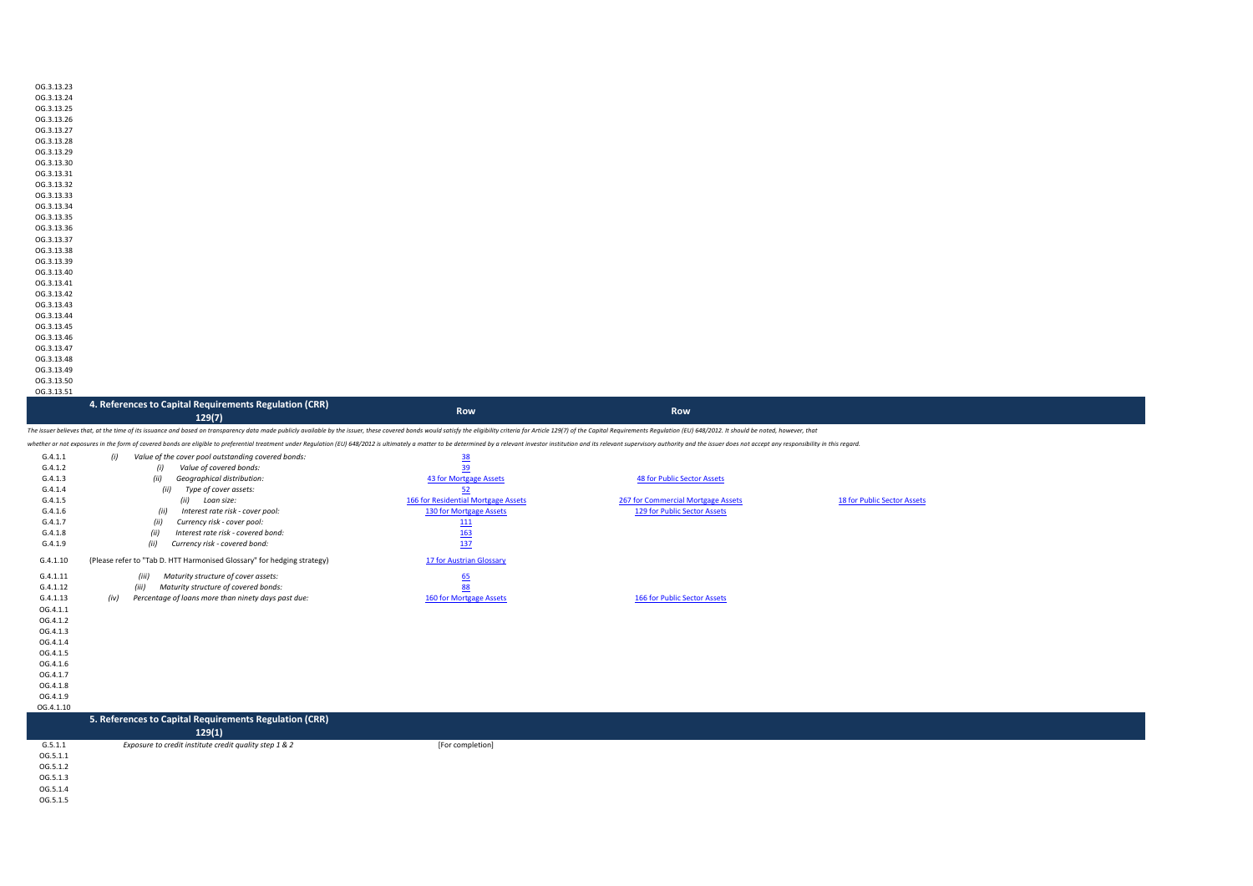| OG 3.13.23 |
|------------|
| OG.3.13.24 |
| OG 3.13.25 |
| OG.3.13.26 |
| OG.3.13.27 |
| OG.3.13.28 |
| OG.3.13.29 |
| OG.3.13.30 |
| OG.3.13.31 |
| OG.3.13.32 |
| OG.3.13.33 |
| OG.3.13.34 |
| OG 3.13.35 |
| OG.3.13.36 |
| OG.3.13.37 |
| OG.3.13.38 |
| OG.3.13.39 |
| OG.3.13.40 |
| OG.3.13.41 |
| OG.3.13.42 |
| OG.3.13.43 |
| OG.3.13.44 |
| OG.3.13.45 |
| OG.3.13.46 |
| OG.3.13.47 |
| OG.3.13.48 |
| OG.3.13.49 |
| OG.3.13.50 |

OG.3.13.51

| 4. References to Capital Requirements Regulation (CRR) | <b>Row</b> | <b>Row</b> |
|--------------------------------------------------------|------------|------------|
| 129(7)                                                 |            |            |

The issuer believes that, at the time of its issuance and based on transparency data made publicly available by the issuer, these covered bonds would satisfy the eligibility criteria for Article 129(7) of the Capital Requi

whether or not every are the form of rowerd honds are eligible to preferential treatment under Requistion (FUI 648/2013) is ultimate blo atter to be determined bu are leasured invasting insult for playing the form of the r

|           | еспег от пос ехрозител територ сочета оопоз ате ендию со ртеретная изашта настеративно проводил из нашего от ассетные оу а текуат туемы турком такимот апа из текуат муркуному антону апа их вышего не изметает оне куроному т |                                     |                                    |                             |  |
|-----------|--------------------------------------------------------------------------------------------------------------------------------------------------------------------------------------------------------------------------------|-------------------------------------|------------------------------------|-----------------------------|--|
| G.4.1.1   | (i)<br>Value of the cover pool outstanding covered bonds:                                                                                                                                                                      | <u>38</u>                           |                                    |                             |  |
| G.4.1.2   | Value of covered bonds:<br>(i)                                                                                                                                                                                                 | 39                                  |                                    |                             |  |
| G.4.1.3   | (ii)<br>Geographical distribution:                                                                                                                                                                                             | 43 for Mortgage Assets              | <b>48 for Public Sector Assets</b> |                             |  |
| G.4.1.4   | Type of cover assets:<br>(ii)                                                                                                                                                                                                  | 52                                  |                                    |                             |  |
| G.4.1.5   | (ii)<br>Loan size:                                                                                                                                                                                                             | 166 for Residential Mortgage Assets | 267 for Commercial Mortgage Assets | 18 for Public Sector Assets |  |
| G.4.1.6   | Interest rate risk - cover pool:<br>(ii)                                                                                                                                                                                       | 130 for Mortgage Assets             | 129 for Public Sector Assets       |                             |  |
| G.4.1.7   | Currency risk - cover pool:<br>(ii)                                                                                                                                                                                            | <b>111</b>                          |                                    |                             |  |
| G.4.1.8   | Interest rate risk - covered bond:<br>(ii)                                                                                                                                                                                     | <b>163</b>                          |                                    |                             |  |
| G.4.1.9   | (ii)<br>Currency risk - covered bond:                                                                                                                                                                                          | 137                                 |                                    |                             |  |
| G.4.1.10  | (Please refer to "Tab D. HTT Harmonised Glossary" for hedging strategy)                                                                                                                                                        | 17 for Austrian Glossary            |                                    |                             |  |
| G.4.1.11  | (iii)<br>Maturity structure of cover assets:                                                                                                                                                                                   | 65                                  |                                    |                             |  |
| G.4.1.12  | Maturity structure of covered bonds:<br>(iii)                                                                                                                                                                                  | 88                                  |                                    |                             |  |
| G.4.1.13  | Percentage of loans more than ninety days past due:<br>(iv)                                                                                                                                                                    | 160 for Mortgage Assets             | 166 for Public Sector Assets       |                             |  |
| OG.4.1.1  |                                                                                                                                                                                                                                |                                     |                                    |                             |  |
| OG.4.1.2  |                                                                                                                                                                                                                                |                                     |                                    |                             |  |
| OG.4.1.3  |                                                                                                                                                                                                                                |                                     |                                    |                             |  |
| OG.4.1.4  |                                                                                                                                                                                                                                |                                     |                                    |                             |  |
| OG.4.1.5  |                                                                                                                                                                                                                                |                                     |                                    |                             |  |
| OG.4.1.6  |                                                                                                                                                                                                                                |                                     |                                    |                             |  |
| OG.4.1.7  |                                                                                                                                                                                                                                |                                     |                                    |                             |  |
| OG.4.1.8  |                                                                                                                                                                                                                                |                                     |                                    |                             |  |
| OG.4.1.9  |                                                                                                                                                                                                                                |                                     |                                    |                             |  |
| OG.4.1.10 |                                                                                                                                                                                                                                |                                     |                                    |                             |  |
|           | 5. References to Capital Requirements Regulation (CRR)                                                                                                                                                                         |                                     |                                    |                             |  |
|           | 129(1)                                                                                                                                                                                                                         |                                     |                                    |                             |  |
| G.5.1.1   | Exposure to credit institute credit quality step 1 & 2                                                                                                                                                                         | [For completion]                    |                                    |                             |  |
| OG.5.1.1  |                                                                                                                                                                                                                                |                                     |                                    |                             |  |
| OG.5.1.2  |                                                                                                                                                                                                                                |                                     |                                    |                             |  |
| OG.5.1.3  |                                                                                                                                                                                                                                |                                     |                                    |                             |  |

OG.5.1.3 OG.5.1.4

OG.5.1.5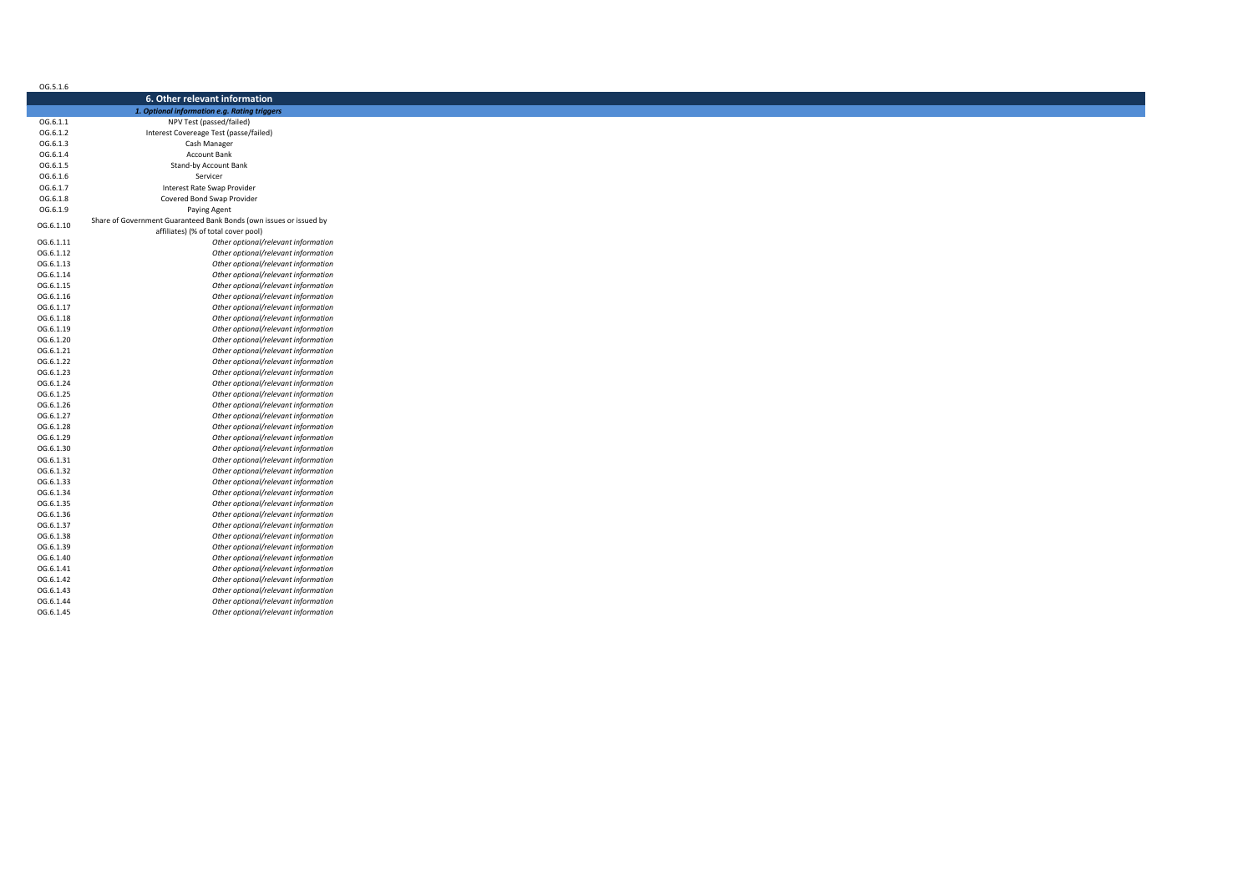| 6. Other relevant information<br>1. Optional information e.g. Rating triggers<br>OG.6.1.1<br>NPV Test (passed/failed)<br>OG.6.1.2<br>Interest Covereage Test (passe/failed)<br>OG.6.1.3<br>Cash Manager<br>Account Bank<br>OG.6.1.5<br>Stand-by Account Bank<br>Servicer<br>OG.6.1.6<br>OG.6.1.7<br>Interest Rate Swap Provider<br>Covered Bond Swap Provider<br>OG.6.1.8<br>OG.6.1.9<br>Paying Agent<br>Share of Government Guaranteed Bank Bonds (own issues or issued by<br>OG.6.1.10<br>affiliates) (% of total cover pool)<br>Other optional/relevant information<br>OG.6.1.11<br>OG.6.1.12<br>Other optional/relevant information<br>Other optional/relevant information<br>OG.6.1.13<br>OG.6.1.14<br>Other optional/relevant information<br>OG.6.1.15<br>Other optional/relevant information<br>Other optional/relevant information<br>OG.6.1.16<br>Other optional/relevant information<br>OG.6.1.17<br>Other optional/relevant information<br>OG.6.1.18<br>Other optional/relevant information<br>OG.6.1.19<br>Other optional/relevant information<br>OG.6.1.20<br>Other optional/relevant information<br>OG.6.1.21<br>Other optional/relevant information<br>OG.6.1.22 |
|---------------------------------------------------------------------------------------------------------------------------------------------------------------------------------------------------------------------------------------------------------------------------------------------------------------------------------------------------------------------------------------------------------------------------------------------------------------------------------------------------------------------------------------------------------------------------------------------------------------------------------------------------------------------------------------------------------------------------------------------------------------------------------------------------------------------------------------------------------------------------------------------------------------------------------------------------------------------------------------------------------------------------------------------------------------------------------------------------------------------------------------------------------------------------------|
|                                                                                                                                                                                                                                                                                                                                                                                                                                                                                                                                                                                                                                                                                                                                                                                                                                                                                                                                                                                                                                                                                                                                                                                 |
|                                                                                                                                                                                                                                                                                                                                                                                                                                                                                                                                                                                                                                                                                                                                                                                                                                                                                                                                                                                                                                                                                                                                                                                 |
|                                                                                                                                                                                                                                                                                                                                                                                                                                                                                                                                                                                                                                                                                                                                                                                                                                                                                                                                                                                                                                                                                                                                                                                 |
|                                                                                                                                                                                                                                                                                                                                                                                                                                                                                                                                                                                                                                                                                                                                                                                                                                                                                                                                                                                                                                                                                                                                                                                 |
|                                                                                                                                                                                                                                                                                                                                                                                                                                                                                                                                                                                                                                                                                                                                                                                                                                                                                                                                                                                                                                                                                                                                                                                 |
|                                                                                                                                                                                                                                                                                                                                                                                                                                                                                                                                                                                                                                                                                                                                                                                                                                                                                                                                                                                                                                                                                                                                                                                 |
|                                                                                                                                                                                                                                                                                                                                                                                                                                                                                                                                                                                                                                                                                                                                                                                                                                                                                                                                                                                                                                                                                                                                                                                 |
|                                                                                                                                                                                                                                                                                                                                                                                                                                                                                                                                                                                                                                                                                                                                                                                                                                                                                                                                                                                                                                                                                                                                                                                 |
|                                                                                                                                                                                                                                                                                                                                                                                                                                                                                                                                                                                                                                                                                                                                                                                                                                                                                                                                                                                                                                                                                                                                                                                 |
|                                                                                                                                                                                                                                                                                                                                                                                                                                                                                                                                                                                                                                                                                                                                                                                                                                                                                                                                                                                                                                                                                                                                                                                 |
|                                                                                                                                                                                                                                                                                                                                                                                                                                                                                                                                                                                                                                                                                                                                                                                                                                                                                                                                                                                                                                                                                                                                                                                 |
|                                                                                                                                                                                                                                                                                                                                                                                                                                                                                                                                                                                                                                                                                                                                                                                                                                                                                                                                                                                                                                                                                                                                                                                 |
|                                                                                                                                                                                                                                                                                                                                                                                                                                                                                                                                                                                                                                                                                                                                                                                                                                                                                                                                                                                                                                                                                                                                                                                 |
|                                                                                                                                                                                                                                                                                                                                                                                                                                                                                                                                                                                                                                                                                                                                                                                                                                                                                                                                                                                                                                                                                                                                                                                 |
|                                                                                                                                                                                                                                                                                                                                                                                                                                                                                                                                                                                                                                                                                                                                                                                                                                                                                                                                                                                                                                                                                                                                                                                 |
|                                                                                                                                                                                                                                                                                                                                                                                                                                                                                                                                                                                                                                                                                                                                                                                                                                                                                                                                                                                                                                                                                                                                                                                 |
|                                                                                                                                                                                                                                                                                                                                                                                                                                                                                                                                                                                                                                                                                                                                                                                                                                                                                                                                                                                                                                                                                                                                                                                 |
|                                                                                                                                                                                                                                                                                                                                                                                                                                                                                                                                                                                                                                                                                                                                                                                                                                                                                                                                                                                                                                                                                                                                                                                 |
|                                                                                                                                                                                                                                                                                                                                                                                                                                                                                                                                                                                                                                                                                                                                                                                                                                                                                                                                                                                                                                                                                                                                                                                 |
|                                                                                                                                                                                                                                                                                                                                                                                                                                                                                                                                                                                                                                                                                                                                                                                                                                                                                                                                                                                                                                                                                                                                                                                 |
|                                                                                                                                                                                                                                                                                                                                                                                                                                                                                                                                                                                                                                                                                                                                                                                                                                                                                                                                                                                                                                                                                                                                                                                 |
|                                                                                                                                                                                                                                                                                                                                                                                                                                                                                                                                                                                                                                                                                                                                                                                                                                                                                                                                                                                                                                                                                                                                                                                 |
|                                                                                                                                                                                                                                                                                                                                                                                                                                                                                                                                                                                                                                                                                                                                                                                                                                                                                                                                                                                                                                                                                                                                                                                 |
|                                                                                                                                                                                                                                                                                                                                                                                                                                                                                                                                                                                                                                                                                                                                                                                                                                                                                                                                                                                                                                                                                                                                                                                 |
|                                                                                                                                                                                                                                                                                                                                                                                                                                                                                                                                                                                                                                                                                                                                                                                                                                                                                                                                                                                                                                                                                                                                                                                 |
|                                                                                                                                                                                                                                                                                                                                                                                                                                                                                                                                                                                                                                                                                                                                                                                                                                                                                                                                                                                                                                                                                                                                                                                 |
|                                                                                                                                                                                                                                                                                                                                                                                                                                                                                                                                                                                                                                                                                                                                                                                                                                                                                                                                                                                                                                                                                                                                                                                 |
| OG.6.1.23<br>Other optional/relevant information                                                                                                                                                                                                                                                                                                                                                                                                                                                                                                                                                                                                                                                                                                                                                                                                                                                                                                                                                                                                                                                                                                                                |
| Other optional/relevant information<br>OG.6.1.24                                                                                                                                                                                                                                                                                                                                                                                                                                                                                                                                                                                                                                                                                                                                                                                                                                                                                                                                                                                                                                                                                                                                |
| OG.6.1.25<br>Other optional/relevant information                                                                                                                                                                                                                                                                                                                                                                                                                                                                                                                                                                                                                                                                                                                                                                                                                                                                                                                                                                                                                                                                                                                                |
| Other optional/relevant information                                                                                                                                                                                                                                                                                                                                                                                                                                                                                                                                                                                                                                                                                                                                                                                                                                                                                                                                                                                                                                                                                                                                             |
| Other optional/relevant information<br>OG.6.1.27                                                                                                                                                                                                                                                                                                                                                                                                                                                                                                                                                                                                                                                                                                                                                                                                                                                                                                                                                                                                                                                                                                                                |
| Other optional/relevant information<br>OG.6.1.28                                                                                                                                                                                                                                                                                                                                                                                                                                                                                                                                                                                                                                                                                                                                                                                                                                                                                                                                                                                                                                                                                                                                |
| Other optional/relevant information<br>OG.6.1.29                                                                                                                                                                                                                                                                                                                                                                                                                                                                                                                                                                                                                                                                                                                                                                                                                                                                                                                                                                                                                                                                                                                                |
| Other optional/relevant information<br>OG.6.1.30                                                                                                                                                                                                                                                                                                                                                                                                                                                                                                                                                                                                                                                                                                                                                                                                                                                                                                                                                                                                                                                                                                                                |
| Other optional/relevant information<br>OG.6.1.31                                                                                                                                                                                                                                                                                                                                                                                                                                                                                                                                                                                                                                                                                                                                                                                                                                                                                                                                                                                                                                                                                                                                |
| Other optional/relevant information<br>OG.6.1.32                                                                                                                                                                                                                                                                                                                                                                                                                                                                                                                                                                                                                                                                                                                                                                                                                                                                                                                                                                                                                                                                                                                                |
| Other optional/relevant information<br>OG.6.1.33                                                                                                                                                                                                                                                                                                                                                                                                                                                                                                                                                                                                                                                                                                                                                                                                                                                                                                                                                                                                                                                                                                                                |
| Other optional/relevant information<br>OG.6.1.34                                                                                                                                                                                                                                                                                                                                                                                                                                                                                                                                                                                                                                                                                                                                                                                                                                                                                                                                                                                                                                                                                                                                |
| Other optional/relevant information                                                                                                                                                                                                                                                                                                                                                                                                                                                                                                                                                                                                                                                                                                                                                                                                                                                                                                                                                                                                                                                                                                                                             |
| Other optional/relevant information                                                                                                                                                                                                                                                                                                                                                                                                                                                                                                                                                                                                                                                                                                                                                                                                                                                                                                                                                                                                                                                                                                                                             |
| Other optional/relevant information                                                                                                                                                                                                                                                                                                                                                                                                                                                                                                                                                                                                                                                                                                                                                                                                                                                                                                                                                                                                                                                                                                                                             |
| Other optional/relevant information                                                                                                                                                                                                                                                                                                                                                                                                                                                                                                                                                                                                                                                                                                                                                                                                                                                                                                                                                                                                                                                                                                                                             |
| Other optional/relevant information                                                                                                                                                                                                                                                                                                                                                                                                                                                                                                                                                                                                                                                                                                                                                                                                                                                                                                                                                                                                                                                                                                                                             |
|                                                                                                                                                                                                                                                                                                                                                                                                                                                                                                                                                                                                                                                                                                                                                                                                                                                                                                                                                                                                                                                                                                                                                                                 |
|                                                                                                                                                                                                                                                                                                                                                                                                                                                                                                                                                                                                                                                                                                                                                                                                                                                                                                                                                                                                                                                                                                                                                                                 |
| Other optional/relevant information<br>OG.6.1.40                                                                                                                                                                                                                                                                                                                                                                                                                                                                                                                                                                                                                                                                                                                                                                                                                                                                                                                                                                                                                                                                                                                                |
| Other optional/relevant information<br>OG.6.1.41                                                                                                                                                                                                                                                                                                                                                                                                                                                                                                                                                                                                                                                                                                                                                                                                                                                                                                                                                                                                                                                                                                                                |
| Other optional/relevant information<br>OG.6.1.42                                                                                                                                                                                                                                                                                                                                                                                                                                                                                                                                                                                                                                                                                                                                                                                                                                                                                                                                                                                                                                                                                                                                |
| Other optional/relevant information<br>OG.6.1.43                                                                                                                                                                                                                                                                                                                                                                                                                                                                                                                                                                                                                                                                                                                                                                                                                                                                                                                                                                                                                                                                                                                                |
| Other optional/relevant information<br>OG.6.1.44                                                                                                                                                                                                                                                                                                                                                                                                                                                                                                                                                                                                                                                                                                                                                                                                                                                                                                                                                                                                                                                                                                                                |
| Other optional/relevant information<br>OG.6.1.45                                                                                                                                                                                                                                                                                                                                                                                                                                                                                                                                                                                                                                                                                                                                                                                                                                                                                                                                                                                                                                                                                                                                |
| OG.6.1.26<br>OG.6.1.35<br>OG.6.1.36<br>OG.6.1.37<br>OG.6.1.38<br>OG.6.1.39                                                                                                                                                                                                                                                                                                                                                                                                                                                                                                                                                                                                                                                                                                                                                                                                                                                                                                                                                                                                                                                                                                      |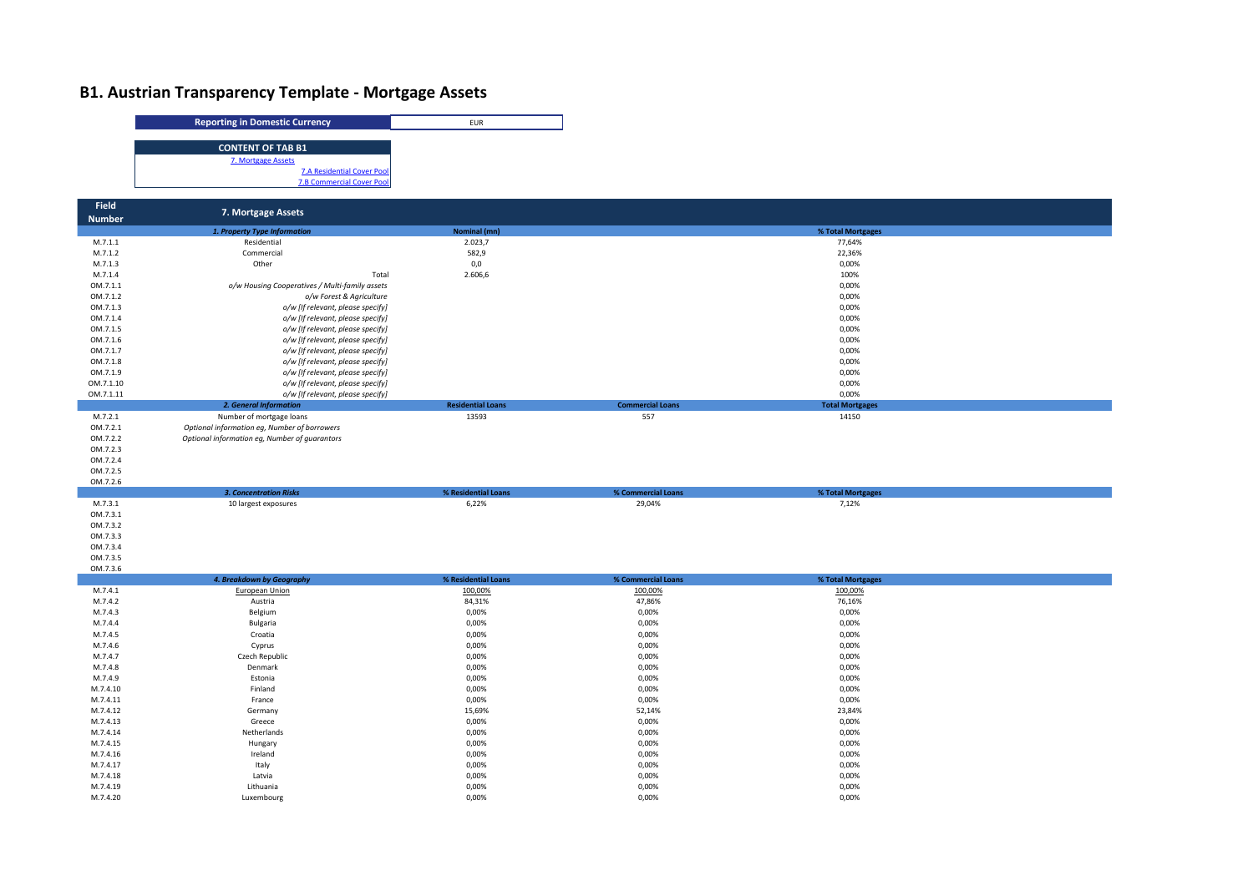## **B1. Austrian Transparency Template - Mortgage Assets**



M.7.4.16 Ireland 0,00% 0,00% 0,00% 0,00% میں 1.17 یون میں 1.2.4.17 میں 1.2.4.17 میں 1.2.4.17 میں 1.2.4.17 میں 1.2.4.17 میں 1.2.4.17 میں 1.2.4.17 میں 1.2.4.17 میں 1.2.4.17 میں 1.2.4.17 میں 1.2.4.17 میں 2.0.09% میں 2.2.4.17 میں 2.2.4.17 میں 2.2.4.17 میں 2.2. M.7.4.18 Latvia 0,00% 0,00% 0,00% M.7.4.19 Lithuania 0,00% 0,00% 0,00% M.7.4.20 Luxembourg 0,00% 0,00% 0,00%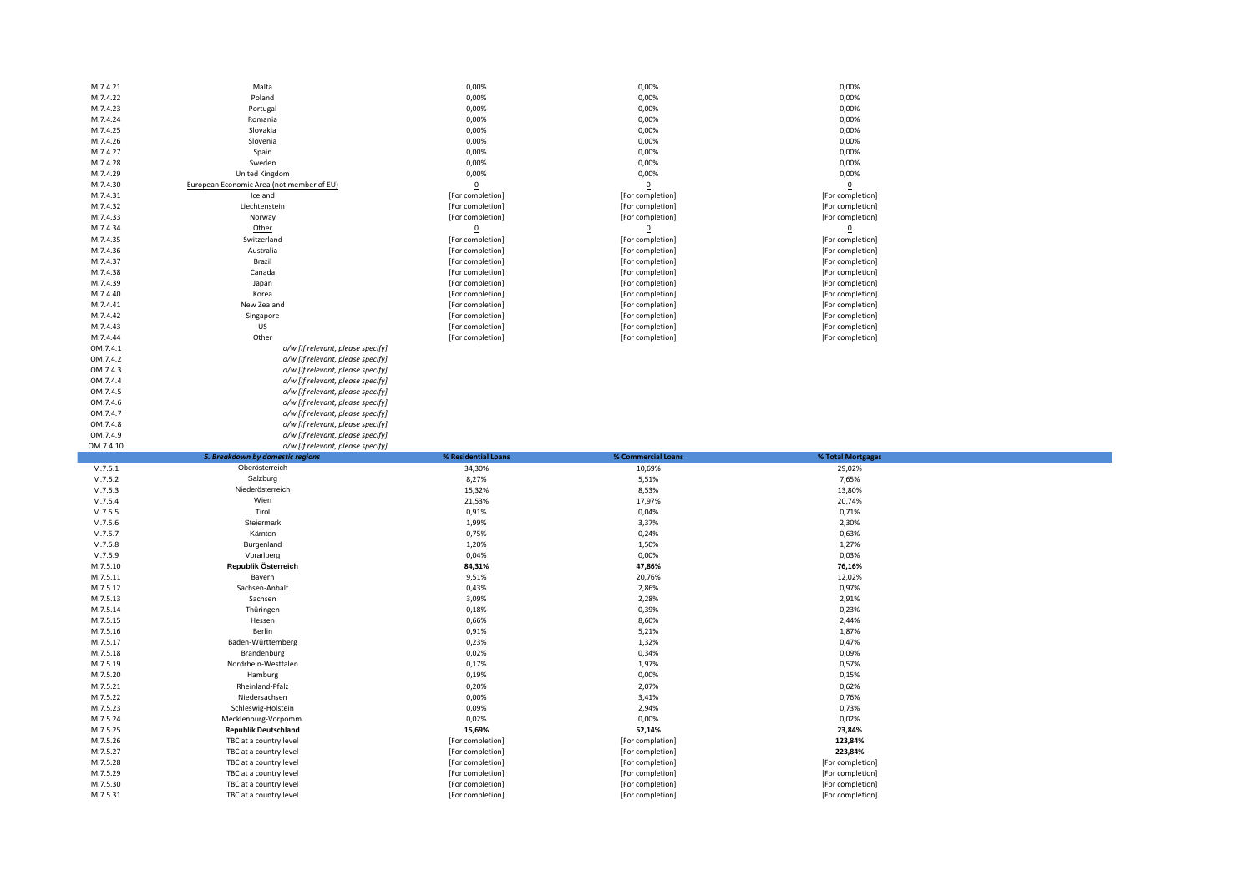| M.7.4.21             | Malta                                            | 0,00%                                | 0,00%                                | 0,00%                                |  |
|----------------------|--------------------------------------------------|--------------------------------------|--------------------------------------|--------------------------------------|--|
| M.7.4.22             | Poland                                           | 0,00%                                | 0,00%                                | 0,00%                                |  |
| M.7.4.23             | Portugal                                         | 0,00%                                | 0,00%                                | 0,00%                                |  |
|                      |                                                  |                                      |                                      |                                      |  |
| M.7.4.24             | Romania                                          | 0,00%                                | 0,00%                                | 0,00%                                |  |
| M.7.4.25             | Slovakia                                         | 0,00%                                | 0,00%                                | 0,00%                                |  |
| M.7.4.26             | Slovenia                                         | 0,00%                                | 0,00%                                | 0,00%                                |  |
| M.7.4.27             | Spain                                            | 0,00%                                | 0,00%                                | 0,00%                                |  |
|                      |                                                  |                                      |                                      |                                      |  |
| M.7.4.28             | Sweden                                           | 0,00%                                | 0,00%                                | 0,00%                                |  |
| M.7.4.29             | <b>United Kingdom</b>                            | 0,00%                                | 0,00%                                | 0,00%                                |  |
| M.7.4.30             | European Economic Area (not member of EU)        | $\mathbf 0$                          | $\mathbf 0$                          | $\underline{0}$                      |  |
| M.7.4.31             | Iceland                                          | [For completion]                     | [For completion]                     | [For completion]                     |  |
|                      |                                                  |                                      |                                      |                                      |  |
| M.7.4.32             | Liechtenstein                                    | [For completion]                     | [For completion]                     | [For completion]                     |  |
| M.7.4.33             | Norway                                           | [For completion]                     | [For completion]                     | [For completion]                     |  |
| M.7.4.34             | Other                                            | $\overline{0}$                       | $\mathbf 0$                          | $\overline{0}$                       |  |
| M.7.4.35             | Switzerland                                      | [For completion]                     | [For completion]                     | [For completion]                     |  |
| M.7.4.36             | Australia                                        | [For completion]                     | [For completion]                     | [For completion]                     |  |
|                      |                                                  |                                      |                                      |                                      |  |
| M.7.4.37             | Brazil                                           | [For completion]                     | [For completion]                     | [For completion]                     |  |
| M.7.4.38             | Canada                                           | [For completion]                     | [For completion]                     | [For completion]                     |  |
| M.7.4.39             | Japan                                            | [For completion]                     | [For completion]                     | [For completion]                     |  |
| M.7.4.40             | Korea                                            | [For completion]                     | [For completion]                     | [For completion]                     |  |
|                      |                                                  |                                      |                                      |                                      |  |
| M.7.4.41             | New Zealand                                      | [For completion]                     | [For completion]                     | [For completion]                     |  |
| M.7.4.42             | Singapore                                        | [For completion]                     | [For completion]                     | [For completion]                     |  |
| M.7.4.43             | US                                               | [For completion]                     | [For completion]                     | [For completion]                     |  |
| M.7.4.44             | Other                                            | [For completion]                     | [For completion]                     | [For completion]                     |  |
| OM.7.4.1             | o/w [If relevant, please specify]                |                                      |                                      |                                      |  |
|                      |                                                  |                                      |                                      |                                      |  |
| OM.7.4.2             | o/w [If relevant, please specify]                |                                      |                                      |                                      |  |
| OM.7.4.3             | o/w [If relevant, please specify]                |                                      |                                      |                                      |  |
| OM.7.4.4             | o/w [If relevant, please specify]                |                                      |                                      |                                      |  |
| OM.7.4.5             | o/w [If relevant, please specify]                |                                      |                                      |                                      |  |
| OM.7.4.6             | o/w [If relevant, please specify]                |                                      |                                      |                                      |  |
|                      |                                                  |                                      |                                      |                                      |  |
| OM.7.4.7             | o/w [If relevant, please specify]                |                                      |                                      |                                      |  |
| OM.7.4.8             | o/w [If relevant, please specify]                |                                      |                                      |                                      |  |
| OM.7.4.9             | o/w [If relevant, please specify]                |                                      |                                      |                                      |  |
|                      |                                                  |                                      |                                      |                                      |  |
|                      |                                                  |                                      |                                      |                                      |  |
| OM.7.4.10            | o/w [If relevant, please specify]                |                                      |                                      |                                      |  |
|                      | 5. Breakdown by domestic regions                 | % Residential Loans                  | % Commercial Loans                   | % Total Mortgages                    |  |
| M.7.5.1              | Oberösterreich                                   | 34,30%                               | 10,69%                               | 29,02%                               |  |
| M.7.5.2              | Salzburg                                         | 8,27%                                | 5,51%                                | 7,65%                                |  |
| M.7.5.3              | Niederösterreich                                 | 15,32%                               | 8,53%                                | 13,80%                               |  |
|                      |                                                  |                                      |                                      |                                      |  |
| M.7.5.4              | Wien                                             | 21,53%                               | 17,97%                               | 20,74%                               |  |
| M.7.5.5              | Tirol                                            | 0,91%                                | 0,04%                                | 0,71%                                |  |
| M.7.5.6              | Steiermark                                       | 1,99%                                | 3,37%                                | 2,30%                                |  |
| M.7.5.7              | Kärnten                                          | 0,75%                                | 0,24%                                | 0,63%                                |  |
| M.7.5.8              | Burgenland                                       | 1,20%                                | 1,50%                                | 1,27%                                |  |
|                      |                                                  |                                      |                                      |                                      |  |
| M.7.5.9              | Vorarlberg                                       | 0,04%                                | 0,00%                                | 0,03%                                |  |
| M.7.5.10             | Republik Österreich                              | 84,31%                               | 47,86%                               | 76,16%                               |  |
| M.7.5.11             | Bayern                                           | 9,51%                                | 20,76%                               | 12,02%                               |  |
| M.7.5.12             | Sachsen-Anhalt                                   | 0,43%                                | 2,86%                                | 0,97%                                |  |
| M.7.5.13             | Sachsen                                          | 3,09%                                | 2,28%                                | 2,91%                                |  |
| M.7.5.14             | Thüringen                                        | 0,18%                                | 0,39%                                | 0,23%                                |  |
|                      |                                                  |                                      |                                      |                                      |  |
| M.7.5.15             | Hessen                                           | 0,66%                                | 8,60%                                | 2,44%                                |  |
| M.7.5.16             | Berlin                                           | 0,91%                                | 5,21%                                | 1,87%                                |  |
| M.7.5.17             | Baden-Württemberg                                | 0,23%                                | 1,32%                                | 0,47%                                |  |
| M.7.5.18             | Brandenburg                                      | 0,02%                                | 0,34%                                | 0,09%                                |  |
|                      |                                                  |                                      |                                      |                                      |  |
| M.7.5.19             | Nordrhein-Westfalen                              | 0,17%                                | 1,97%                                | 0,57%                                |  |
| M.7.5.20             | Hamburg                                          | 0,19%                                | 0,00%                                | 0,15%                                |  |
| M.7.5.21             | Rheinland-Pfalz                                  | 0,20%                                | 2,07%                                | 0,62%                                |  |
| M.7.5.22             | Niedersachsen                                    | 0,00%                                | 3,41%                                | 0,76%                                |  |
| M.7.5.23             | Schleswig-Holstein                               | 0,09%                                | 2,94%                                | 0,73%                                |  |
|                      |                                                  |                                      |                                      |                                      |  |
| M.7.5.24             | Mecklenburg-Vorpomm.                             | 0,02%                                | 0,00%                                | 0,02%                                |  |
| M.7.5.25             | <b>Republik Deutschland</b>                      | 15,69%                               | 52,14%                               | 23,84%                               |  |
| M.7.5.26             | TBC at a country level                           | [For completion]                     | [For completion]                     | 123,84%                              |  |
| M.7.5.27             | TBC at a country level                           | [For completion]                     | [For completion]                     | 223,84%                              |  |
| M.7.5.28             | TBC at a country level                           |                                      |                                      |                                      |  |
|                      |                                                  | [For completion]                     | [For completion]                     | [For completion]                     |  |
| M.7.5.29             | TBC at a country level                           | [For completion]                     | [For completion]                     | [For completion]                     |  |
| M.7.5.30<br>M.7.5.31 | TBC at a country level<br>TBC at a country level | [For completion]<br>[For completion] | [For completion]<br>[For completion] | [For completion]<br>[For completion] |  |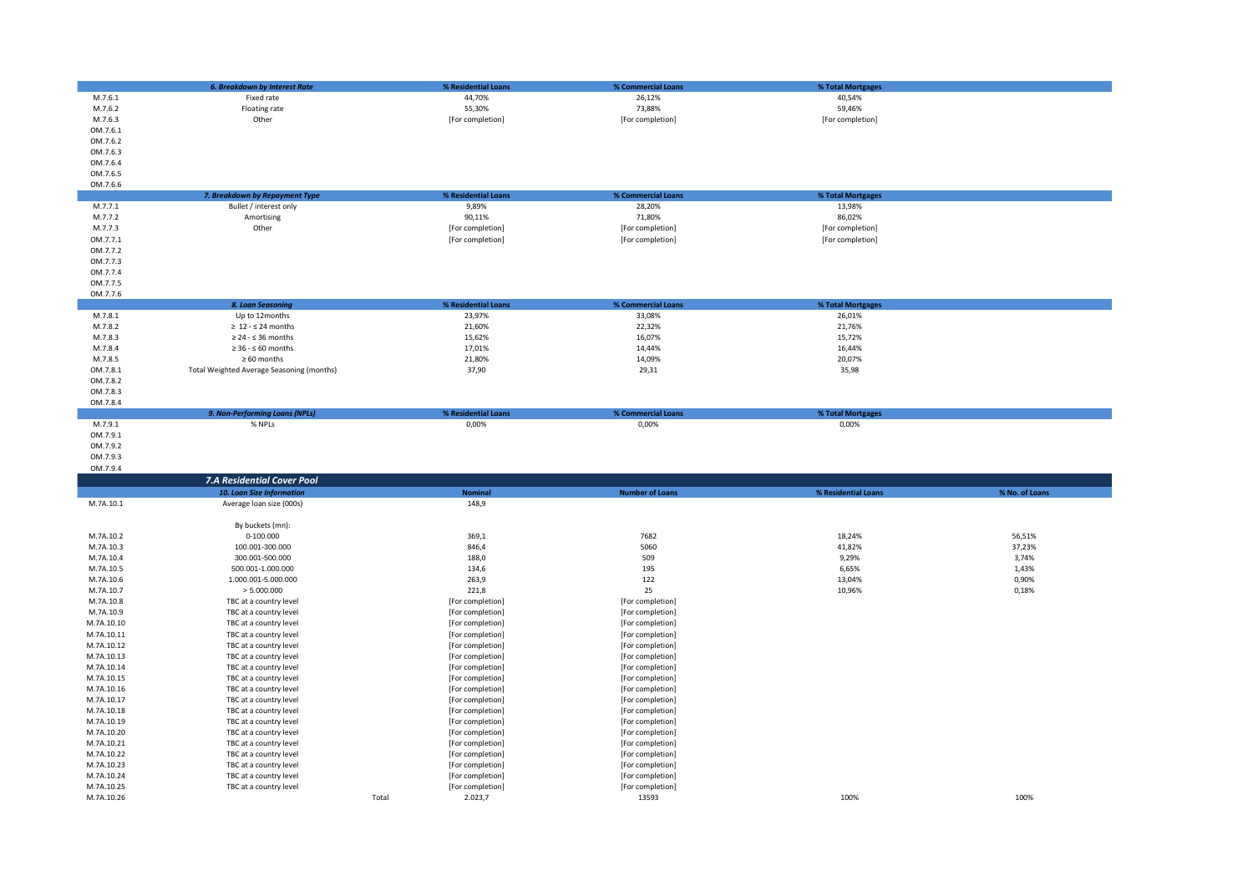|                          | <b>6. Breakdown by Interest Rate</b>      | % Residential Loans                  | % Commercial Loans        | % Total Mortgages   |                |
|--------------------------|-------------------------------------------|--------------------------------------|---------------------------|---------------------|----------------|
|                          |                                           |                                      |                           |                     |                |
| M.7.6.1                  | Fixed rate                                | 44,70%                               | 26,12%                    | 40,54%              |                |
| M.7.6.2                  | Floating rate                             | 55,30%                               | 73,88%                    | 59,46%              |                |
| M.7.6.3                  | Other                                     | [For completion]                     | [For completion]          | [For completion]    |                |
| OM.7.6.1                 |                                           |                                      |                           |                     |                |
| OM.7.6.2                 |                                           |                                      |                           |                     |                |
| OM.7.6.3                 |                                           |                                      |                           |                     |                |
| OM.7.6.4                 |                                           |                                      |                           |                     |                |
|                          |                                           |                                      |                           |                     |                |
| OM.7.6.5                 |                                           |                                      |                           |                     |                |
| OM.7.6.6                 |                                           |                                      |                           |                     |                |
|                          | 7. Breakdown by Repayment Type            | % Residential Loans                  | % Commercial Loans        | % Total Mortgages   |                |
| M.7.7.1                  | Bullet / interest only                    | 9,89%                                | 28,20%                    | 13,98%              |                |
| M.7.7.2                  | Amortising                                | 90,11%                               | 71,80%                    | 86,02%              |                |
| M.7.7.3                  | Other                                     | [For completion]                     | [For completion]          | [For completion]    |                |
| OM.7.7.1                 |                                           | [For completion]                     | [For completion]          | [For completion]    |                |
|                          |                                           |                                      |                           |                     |                |
| OM.7.7.2                 |                                           |                                      |                           |                     |                |
| OM.7.7.3                 |                                           |                                      |                           |                     |                |
| OM.7.7.4                 |                                           |                                      |                           |                     |                |
| OM.7.7.5                 |                                           |                                      |                           |                     |                |
| OM.7.7.6                 |                                           |                                      |                           |                     |                |
|                          | 8. Loan Seasoning                         | % Residential Loans                  | % Commercial Loans        | % Total Mortgages   |                |
| M.7.8.1                  | Up to 12months                            | 23,97%                               | 33,08%                    | 26,01%              |                |
| M.7.8.2                  | $\geq 12 - 524$ months                    | 21,60%                               | 22,32%                    | 21,76%              |                |
| M.7.8.3                  |                                           | 15,62%                               | 16,07%                    | 15,72%              |                |
|                          | $\geq 24 - 536$ months                    |                                      |                           |                     |                |
| M.7.8.4                  | $\geq 36 - 60$ months                     | 17,01%                               | 14,44%                    | 16.44%              |                |
| M.7.8.5                  | $\geq 60$ months                          | 21,80%                               | 14,09%                    | 20,07%              |                |
| OM.7.8.1                 | Total Weighted Average Seasoning (months) | 37,90                                | 29,31                     | 35,98               |                |
| OM.7.8.2                 |                                           |                                      |                           |                     |                |
| OM.7.8.3                 |                                           |                                      |                           |                     |                |
| OM.7.8.4                 |                                           |                                      |                           |                     |                |
|                          | 9. Non-Performing Loans (NPLs)            | % Residential Loans                  | % Commercial Loans        | % Total Mortgages   |                |
| M.7.9.1                  | % NPLs                                    | 0,00%                                | 0,00%                     | 0,00%               |                |
|                          |                                           |                                      |                           |                     |                |
| OM.7.9.1                 |                                           |                                      |                           |                     |                |
|                          |                                           |                                      |                           |                     |                |
| OM.7.9.2                 |                                           |                                      |                           |                     |                |
| OM.7.9.3                 |                                           |                                      |                           |                     |                |
| OM.7.9.4                 |                                           |                                      |                           |                     |                |
|                          |                                           |                                      |                           |                     |                |
|                          | 7.A Residential Cover Pool                |                                      |                           |                     |                |
|                          | 10. Loan Size Information                 | <b>Nominal</b>                       | <b>Number of Loans</b>    | % Residential Loans | % No. of Loans |
| M.7A.10.1                | Average loan size (000s)                  | 148,9                                |                           |                     |                |
|                          |                                           |                                      |                           |                     |                |
|                          | By buckets (mn):                          |                                      |                           |                     |                |
| M.7A.10.2                | 0-100.000                                 | 369,1                                | 7682                      | 18,24%              | 56,51%         |
| M.7A.10.3                | 100.001-300.000                           | 846,4                                | 5060                      | 41,82%              | 37,23%         |
|                          |                                           |                                      | 509                       |                     |                |
| M.7A.10.4                | 300.001-500.000                           | 188,0                                |                           | 9,29%               | 3,74%          |
| M.7A.10.5                | 500.001-1.000.000                         | 134,6                                | 195                       | 6,65%               | 1,43%          |
| M.7A.10.6                | 1.000.001-5.000.000                       | 263,9                                | 122                       | 13,04%              | 0,90%          |
| M.7A.10.7                | > 5.000.000                               | 221,8                                | 25                        | 10,96%              | 0,18%          |
| M.7A.10.8                | TBC at a country level                    | [For completion]                     | [For completion]          |                     |                |
| M.7A.10.9                | TBC at a country level                    | [For completion]                     | [For completion]          |                     |                |
| M.7A.10.10               | TBC at a country level                    | [For completion]                     | [For completion]          |                     |                |
| M.7A.10.11               | TBC at a country level                    | [For completion]                     | [For completion]          |                     |                |
|                          |                                           |                                      |                           |                     |                |
| M.7A.10.12               | TBC at a country level                    | [For completion]                     | [For completion]          |                     |                |
| M.7A.10.13               | TBC at a country level                    | [For completion]                     | [For completion]          |                     |                |
| M.7A.10.14               | TBC at a country level                    | [For completion]                     | [For completion]          |                     |                |
| M.7A.10.15               | TBC at a country level                    | [For completion]                     | [For completion]          |                     |                |
| M.7A.10.16               | TBC at a country level                    | [For completion]                     | [For completion]          |                     |                |
| M.7A.10.17               | TBC at a country level                    | [For completion]                     | [For completion]          |                     |                |
| M.7A.10.18               | TBC at a country level                    | [For completion]                     | [For completion]          |                     |                |
| M.7A.10.19               | TBC at a country level                    | [For completion]                     | [For completion]          |                     |                |
| M.7A.10.20               | TBC at a country level                    |                                      |                           |                     |                |
|                          |                                           | [For completion]                     | [For completion]          |                     |                |
| M.7A.10.21               | TBC at a country level                    | [For completion]                     | [For completion]          |                     |                |
| M.7A.10.22               | TBC at a country level                    | [For completion]                     | [For completion]          |                     |                |
| M.7A.10.23               | TBC at a country level                    | [For completion]                     | [For completion]          |                     |                |
| M.7A.10.24               | TBC at a country level                    | [For completion]                     | [For completion]          |                     |                |
| M.7A.10.25<br>M.7A.10.26 | TBC at a country level                    | [For completion]<br>2.023,7<br>Total | [For completion]<br>13593 | 100%                | 100%           |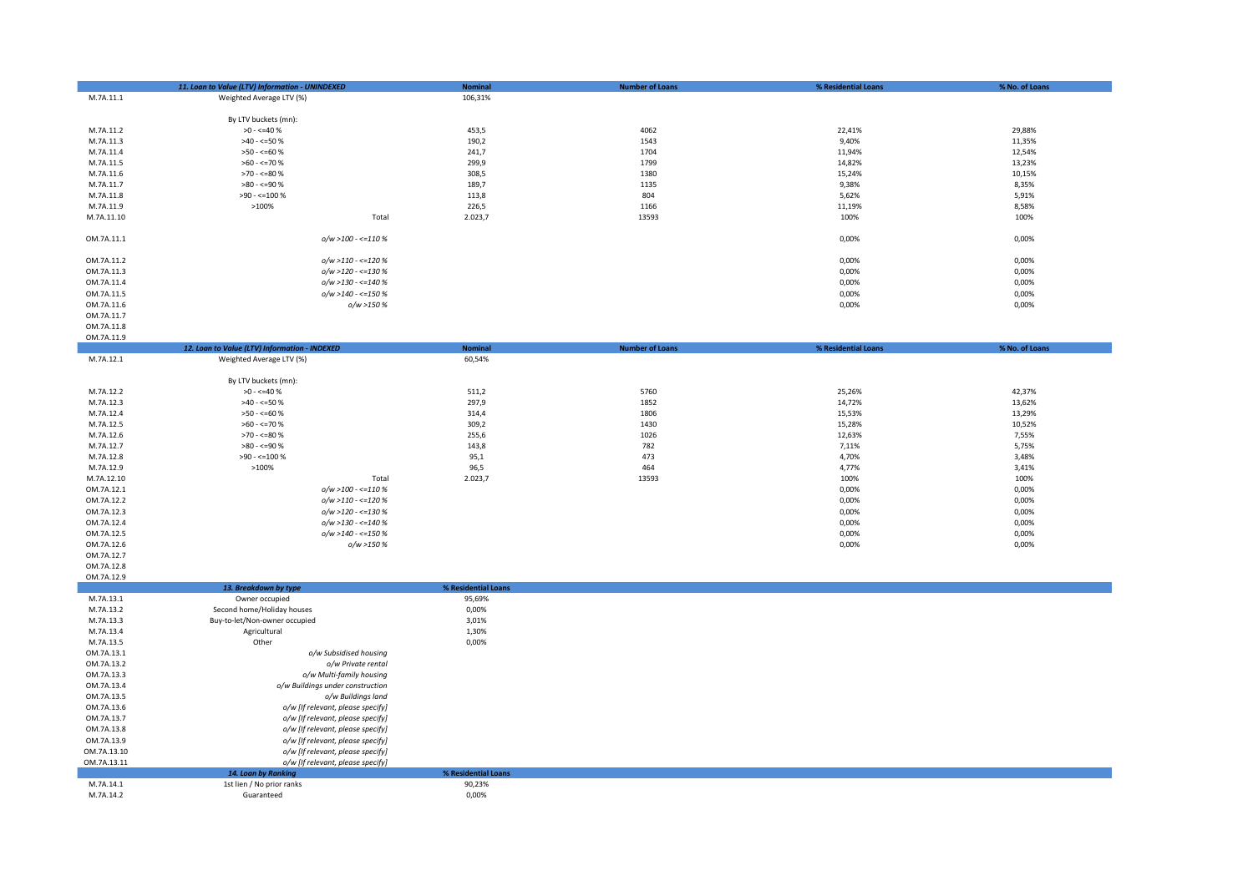|                          | 11. Loan to Value (LTV) Information - UNINDEXED | <b>Nominal</b>                | <b>Number of Loans</b> | % Residential Loans | % No. of Loans   |
|--------------------------|-------------------------------------------------|-------------------------------|------------------------|---------------------|------------------|
| M.7A.11.1                | Weighted Average LTV (%)                        | 106,31%                       |                        |                     |                  |
|                          | By LTV buckets (mn):                            |                               |                        |                     |                  |
| M.7A.11.2                | $>0 - 540%$                                     | 453,5                         | 4062                   | 22,41%              | 29,88%           |
| M.7A.11.3                | $>40 - 50%$                                     | 190,2                         | 1543                   | 9,40%               | 11,35%           |
| M.7A.11.4                | $>50 - \le 60$ %                                | 241,7                         | 1704                   | 11,94%              | 12,54%           |
| M.7A.11.5                | $>60 - \le 70$ %                                | 299,9                         | 1799                   | 14,82%              | 13,23%           |
| M.7A.11.6                | $>70 - 50$                                      | 308,5                         | 1380                   | 15,24%              | 10,15%           |
| M.7A.11.7                | $>80 - 590$                                     | 189,7                         | 1135                   | 9,38%               | 8,35%            |
| M.7A.11.8                | $>90 - 100 %$                                   | 113,8                         | 804                    | 5,62%               | 5,91%            |
| M.7A.11.9                | $>100\%$                                        | 226,5                         | 1166                   | 11,19%              | 8,58%            |
| M.7A.11.10               | Total                                           | 2.023,7                       | 13593                  | 100%                | 100%             |
| OM.7A.11.1               | $o/w > 100 - \le 110\%$                         |                               |                        | 0,00%               | 0,00%            |
|                          |                                                 |                               |                        |                     |                  |
| OM.7A.11.2               | $o/w > 110 - \le 120%$                          |                               |                        | 0,00%               | 0,00%            |
| OM.7A.11.3               | $o/w > 120 - \le 130%$                          |                               |                        | 0,00%               | 0,00%            |
| OM.7A.11.4               | $o/w > 130 - \le 140%$                          |                               |                        | 0,00%               | 0,00%            |
| OM.7A.11.5               | o/w >140 - <=150 %                              |                               |                        | 0,00%               | 0,00%            |
| OM.7A.11.6               | o/w >150 %                                      |                               |                        | 0,00%               | 0,00%            |
| OM.7A.11.7               |                                                 |                               |                        |                     |                  |
| OM.7A.11.8<br>OM.7A.11.9 |                                                 |                               |                        |                     |                  |
|                          | 12. Loan to Value (LTV) Information - INDEXED   | <b>Nominal</b>                | <b>Number of Loans</b> | % Residential Loans | % No. of Loans   |
| M.7A.12.1                | Weighted Average LTV (%)                        | 60,54%                        |                        |                     |                  |
|                          |                                                 |                               |                        |                     |                  |
|                          | By LTV buckets (mn):                            |                               |                        |                     |                  |
| M.7A.12.2                | $>0 - \le 40$ %                                 | 511,2                         | 5760                   | 25,26%              | 42,37%           |
| M.7A.12.3                | $>40 - 50%$                                     | 297,9                         | 1852                   | 14,72%              | 13,62%           |
| M.7A.12.4<br>M.7A.12.5   | $>50 - 50$<br>$>60 - \le 70$ %                  | 314,4<br>309,2                | 1806<br>1430           | 15,53%<br>15,28%    | 13,29%<br>10,52% |
| M.7A.12.6                | $>70 - 50$                                      | 255,6                         | 1026                   | 12,63%              | 7,55%            |
| M.7A.12.7                | $>80 - 590$                                     | 143,8                         | 782                    | 7,11%               | 5,75%            |
| M.7A.12.8                | $>90 - \le 100 \%$                              | 95,1                          | 473                    | 4,70%               | 3,48%            |
| M.7A.12.9                | $>100\%$                                        | 96,5                          | 464                    | 4,77%               | 3,41%            |
| M.7A.12.10               | Total                                           | 2.023,7                       | 13593                  | 100%                | 100%             |
| OM.7A.12.1               | $o/w > 100 - \le 110\%$                         |                               |                        | 0,00%               | 0,00%            |
| OM.7A.12.2               | $o/w > 110 - \le 120%$                          |                               |                        | 0,00%               | 0,00%            |
| OM.7A.12.3               | o/w >120 - <= 130 %                             |                               |                        | 0,00%               | 0,00%            |
| OM.7A.12.4               | $o/w > 130 - \le 140%$                          |                               |                        | 0,00%               | 0,00%            |
| OM.7A.12.5               | $o/w > 140 - \le 150%$                          |                               |                        | 0,00%               | 0,00%            |
| OM.7A.12.6               | o/w >150 %                                      |                               |                        | 0,00%               | 0,00%            |
| OM.7A.12.7<br>OM.7A.12.8 |                                                 |                               |                        |                     |                  |
| OM.7A.12.9               |                                                 |                               |                        |                     |                  |
|                          | 13. Breakdown by type                           | % Residential Loans           |                        |                     |                  |
| M.7A.13.1                | Owner occupied                                  | 95,69%                        |                        |                     |                  |
| M.7A.13.2                | Second home/Holiday houses                      | 0,00%                         |                        |                     |                  |
| M.7A.13.3                | Buy-to-let/Non-owner occupied                   | 3,01%                         |                        |                     |                  |
| M.7A.13.4                | Agricultural                                    | 1,30%                         |                        |                     |                  |
| M.7A.13.5                | Other                                           | 0,00%                         |                        |                     |                  |
| OM.7A.13.1               | o/w Subsidised housing                          |                               |                        |                     |                  |
| OM.7A.13.2<br>OM.7A.13.3 | o/w Private rental<br>o/w Multi-family housing  |                               |                        |                     |                  |
| OM.7A.13.4               | o/w Buildings under construction                |                               |                        |                     |                  |
| OM.7A.13.5               | o/w Buildings land                              |                               |                        |                     |                  |
| OM.7A.13.6               | o/w [If relevant, please specify]               |                               |                        |                     |                  |
| OM.7A.13.7               | o/w [If relevant, please specify]               |                               |                        |                     |                  |
| OM.7A.13.8               | o/w [If relevant, please specify]               |                               |                        |                     |                  |
| OM.7A.13.9               | o/w [If relevant, please specify]               |                               |                        |                     |                  |
| OM.7A.13.10              | o/w [If relevant, please specify]               |                               |                        |                     |                  |
| OM.7A.13.11              | o/w [If relevant, please specify]               |                               |                        |                     |                  |
|                          | 14. Loan by Ranking                             | % Residential Loans<br>90,23% |                        |                     |                  |
| M.7A.14.1<br>M.7A.14.2   | 1st lien / No prior ranks<br>Guaranteed         | 0,00%                         |                        |                     |                  |
|                          |                                                 |                               |                        |                     |                  |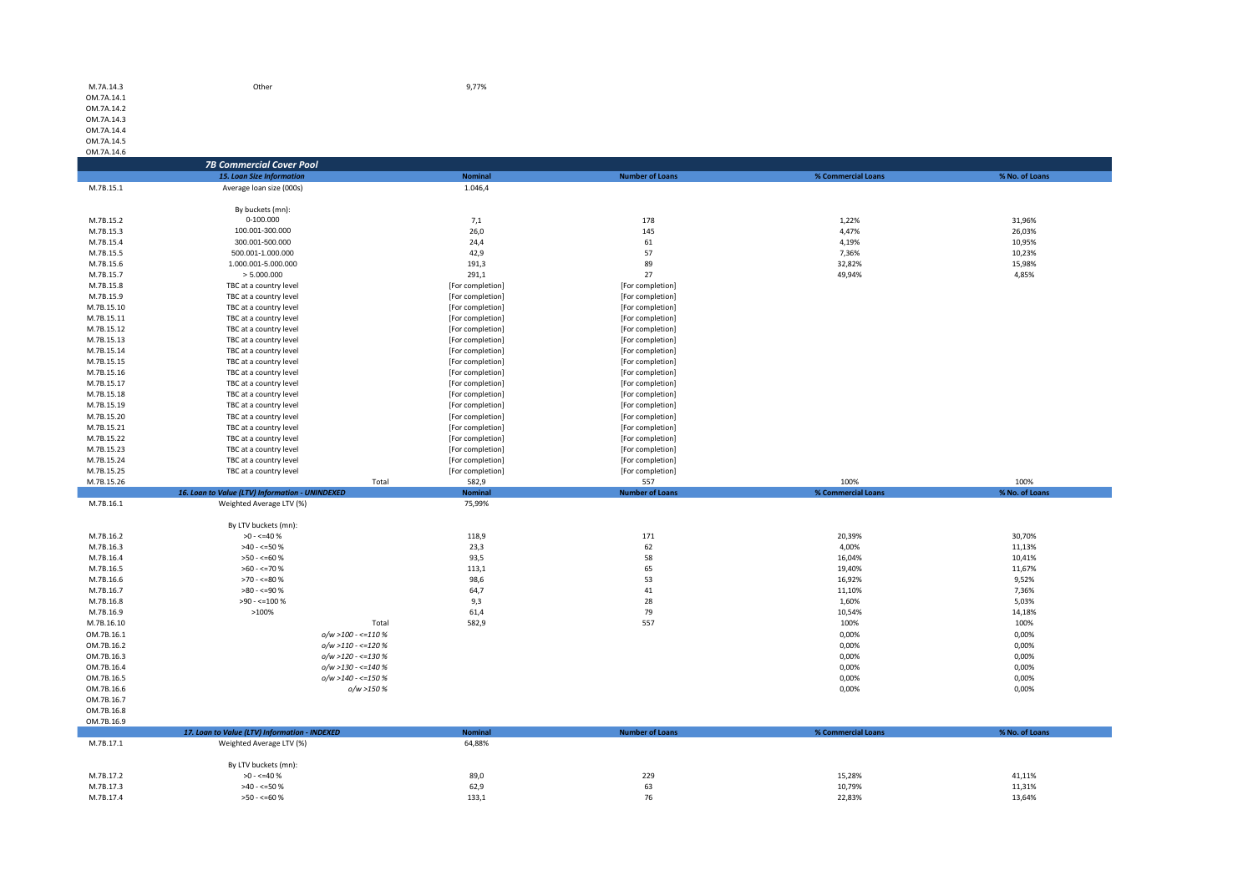| OM.7A.14.2               |                                                  |                  |                        |                    |                |
|--------------------------|--------------------------------------------------|------------------|------------------------|--------------------|----------------|
| OM.7A.14.3               |                                                  |                  |                        |                    |                |
| OM.7A.14.4               |                                                  |                  |                        |                    |                |
| OM.7A.14.5               |                                                  |                  |                        |                    |                |
| OM.7A.14.6               |                                                  |                  |                        |                    |                |
|                          | <b>7B Commercial Cover Pool</b>                  |                  |                        |                    |                |
|                          | 15. Loan Size Information                        | <b>Nominal</b>   | <b>Number of Loans</b> | % Commercial Loans | % No. of Loans |
| M.7B.15.1                | Average loan size (000s)                         | 1.046,4          |                        |                    |                |
|                          | By buckets (mn):                                 |                  |                        |                    |                |
| M.7B.15.2                | 0-100.000                                        | 7,1              | 178                    | 1,22%              | 31,96%         |
| M.7B.15.3                | 100.001-300.000                                  | 26,0             | 145                    | 4,47%              | 26,03%         |
| M.7B.15.4                | 300.001-500.000                                  | 24,4             | 61                     | 4,19%              | 10,95%         |
| M.7B.15.5                | 500.001-1.000.000                                | 42,9             | 57                     | 7,36%              | 10,23%         |
| M.7B.15.6                | 1.000.001-5.000.000                              | 191,3            | 89                     | 32,82%             | 15,98%         |
| M.7B.15.7                | > 5.000.000                                      | 291,1            | 27                     | 49,94%             | 4,85%          |
| M.7B.15.8                | TBC at a country level                           | [For completion] | [For completion]       |                    |                |
| M.7B.15.9                | TBC at a country level                           | [For completion] | [For completion]       |                    |                |
| M.7B.15.10               | TBC at a country level                           | [For completion] | [For completion]       |                    |                |
| M.7B.15.11               | TBC at a country level                           | [For completion] | [For completion]       |                    |                |
| M.7B.15.12               | TBC at a country level                           | [For completion] | [For completion]       |                    |                |
| M.7B.15.13               | TBC at a country level                           | [For completion] | [For completion]       |                    |                |
| M.7B.15.14               | TBC at a country level                           | [For completion] | [For completion]       |                    |                |
| M.7B.15.15               | TBC at a country level                           | [For completion] | [For completion]       |                    |                |
| M.7B.15.16               | TBC at a country level                           | [For completion] | [For completion]       |                    |                |
| M.7B.15.17               | TBC at a country level                           | [For completion] | [For completion]       |                    |                |
| M.7B.15.18               | TBC at a country level                           | [For completion] | [For completion]       |                    |                |
| M.7B.15.19               | TBC at a country level                           | [For completion] | [For completion]       |                    |                |
| M.7B.15.20               | TBC at a country level                           | [For completion] | [For completion]       |                    |                |
| M.7B.15.21               | TBC at a country level                           | [For completion] | [For completion]       |                    |                |
| M.7B.15.22               | TBC at a country level                           | [For completion] | [For completion]       |                    |                |
| M.7B.15.23               | TBC at a country level                           | [For completion] | [For completion]       |                    |                |
| M.7B.15.24               | TBC at a country level                           | [For completion] | [For completion]       |                    |                |
| M.7B.15.25               | TBC at a country level                           | [For completion] | [For completion]       |                    |                |
| M.7B.15.26               | Total                                            | 582,9            | 557                    | 100%               | 100%           |
|                          | 16. Loan to Value (LTV) Information - UNINDEXED  | <b>Nominal</b>   | <b>Number of Loans</b> | % Commercial Loans | % No. of Loans |
| M.7B.16.1                | Weighted Average LTV (%)                         | 75,99%           |                        |                    |                |
|                          | By LTV buckets (mn):                             |                  |                        |                    |                |
| M.7B.16.2                | $>0 - 540%$                                      | 118,9            | 171                    | 20,39%             | 30,70%         |
| M.7B.16.3                | $>40 - 50%$                                      | 23,3             | 62                     | 4,00%              | 11,13%         |
| M.7B.16.4                | $>50 - 50$                                       | 93,5             | 58                     | 16,04%             | 10,41%         |
| M.7B.16.5                | $>60 - \le 70$ %                                 | 113,1            | 65                     | 19,40%             | 11,67%         |
| M.7B.16.6                | $>70 - 50$                                       | 98,6             | 53                     | 16,92%             | 9,52%          |
| M.7B.16.7                | $>80 - 590$                                      | 64,7             | 41                     | 11,10%             | 7,36%          |
| M.7B.16.8                | $>90 - \le 100 %$                                | 9,3              | 28                     | 1,60%              | 5,03%          |
| M.7B.16.9                | >100%                                            | 61,4             | 79                     | 10,54%             | 14,18%         |
| M.7B.16.10               | Total                                            | 582,9            | 557                    | 100%               | 100%           |
| OM.7B.16.1               | $o/w > 100 - \le 110%$                           |                  |                        | 0,00%              | 0,00%          |
| OM.7B.16.2<br>OM.7B.16.3 | $o/w > 110 - \le 120%$<br>$o/w > 120 - \le 130%$ |                  |                        | 0,00%<br>0,00%     | 0,00%          |
| OM.7B.16.4               | $o/w > 130 - \le 140%$                           |                  |                        | 0,00%              | 0,00%<br>0,00% |
| OM.7B.16.5               | $o/w > 140 - \le 150%$                           |                  |                        | 0,00%              | 0,00%          |
| OM.7B.16.6               | o/w >150 %                                       |                  |                        | 0,00%              | 0,00%          |
| OM.7B.16.7               |                                                  |                  |                        |                    |                |
| OM.7B.16.8               |                                                  |                  |                        |                    |                |
| OM.7B.16.9               |                                                  |                  |                        |                    |                |
|                          | 17. Loan to Value (LTV) Information - INDEXED    | <b>Nominal</b>   | <b>Number of Loans</b> | % Commercial Loans | % No. of Loans |
| M.7B.17.1                | Weighted Average LTV (%)                         | 64,88%           |                        |                    |                |
|                          |                                                  |                  |                        |                    |                |
|                          | By LTV buckets (mn):                             |                  |                        |                    |                |
| M.7B.17.2<br>M.7B.17.3   | $>0 - 540%$                                      | 89,0             | 229                    | 15,28%             | 41,11%         |
|                          | $>40 - 50%$                                      | 62,9             | 63                     | 10,79%             | 11,31%         |

M.7B.17.4  $>50 < -60 \%$  133,1  $>33.1$  76 22,83% 22,83% 13,64%

M.7A.14.3 Other 9,77% OM.7A.14.1